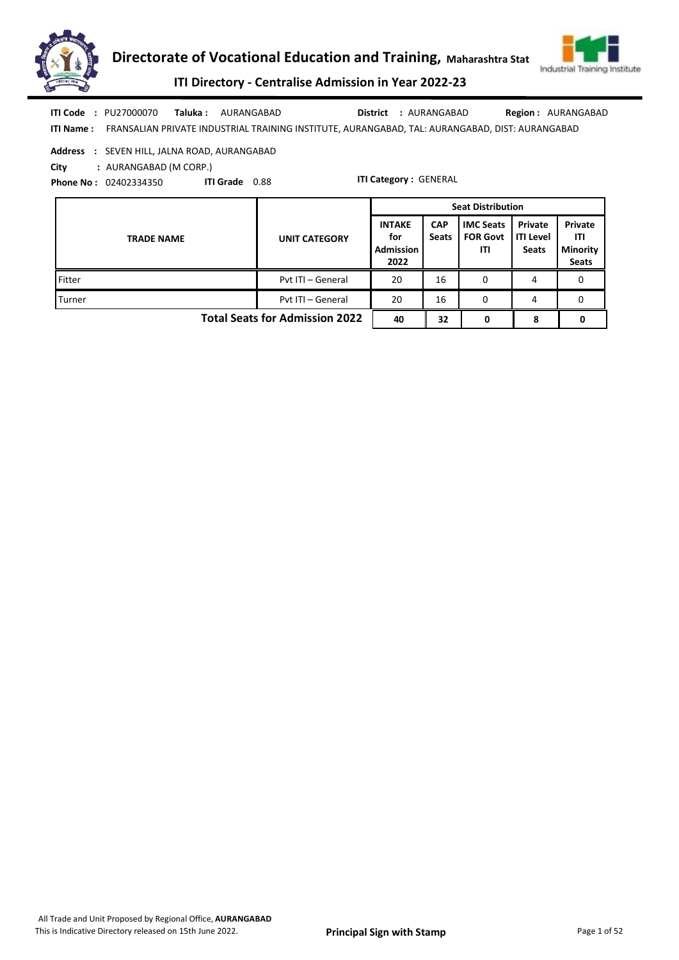



ITI Directory - Centralise Admission in Year 2022-23

Taluka : AURANGABAD **District** : AURANGABAD ITI Code : PU27000070 Taluka : AURANGABAD District : AURANGABAD Region : AURANGABAD

ITI Name : FRANSALIAN PRIVATE INDUSTRIAL TRAINING INSTITUTE, AURANGABAD, TAL: AURANGABAD, DIST: AURANGABAD

Address : SEVEN HILL, JALNA ROAD, AURANGABAD

City : AURANGABAD (M CORP.)

Phone No : 02402334350 ITI Grade 0.88

|                                       |                      | <b>Seat Distribution</b>                         |                            |                                            |                                      |                                                   |
|---------------------------------------|----------------------|--------------------------------------------------|----------------------------|--------------------------------------------|--------------------------------------|---------------------------------------------------|
| <b>TRADE NAME</b>                     | <b>UNIT CATEGORY</b> | <b>INTAKE</b><br>for<br><b>Admission</b><br>2022 | <b>CAP</b><br><b>Seats</b> | <b>IMC Seats</b><br><b>FOR Govt</b><br>ΙTΙ | Private<br>ITI Level<br><b>Seats</b> | Private<br>ITI<br><b>Minority</b><br><b>Seats</b> |
| Fitter                                | Pyt ITI - General    | 20                                               | 16                         | 0                                          | 4                                    | 0                                                 |
| Turner                                | Pyt ITI - General    | 20                                               | 16                         | 0                                          | 4                                    | 0                                                 |
| <b>Total Seats for Admission 2022</b> |                      |                                                  | 32                         | 0                                          | 8                                    |                                                   |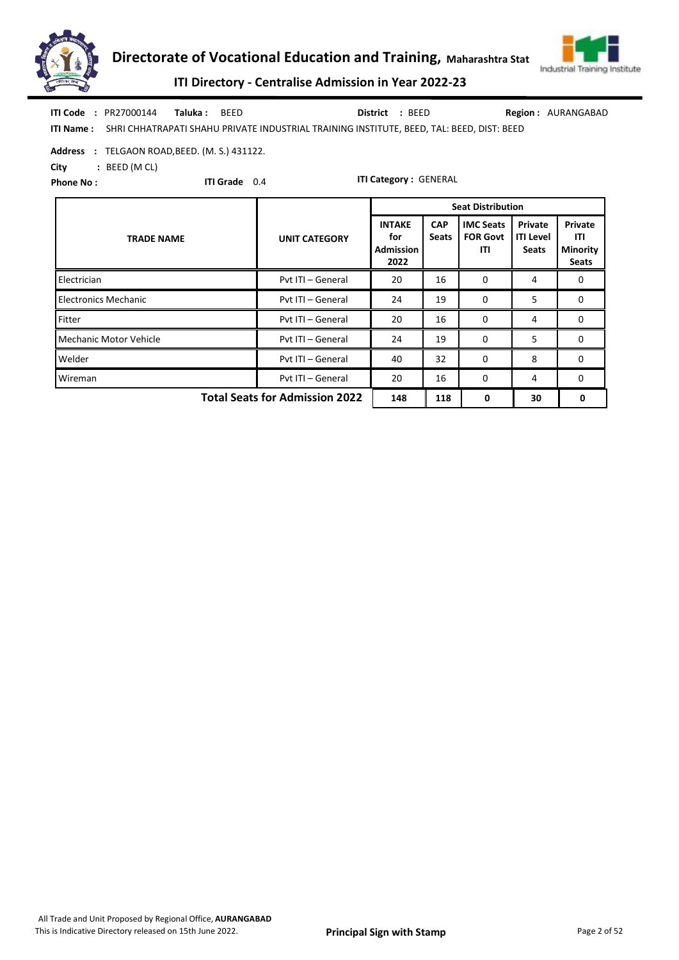



ITI Directory - Centralise Admission in Year 2022-23

|                  | ITI Code: PR27000144 Taluka: BEED |                                                                                           | District : BEED |  | <b>Region: AURANGABAD</b> |
|------------------|-----------------------------------|-------------------------------------------------------------------------------------------|-----------------|--|---------------------------|
| <b>ITI Name:</b> |                                   | SHRI CHHATRAPATI SHAHU PRIVATE INDUSTRIAL TRAINING INSTITUTE, BEED, TAL: BEED, DIST: BEED |                 |  |                           |

Address : TELGAON ROAD, BEED. (M. S.) 431122.

City : BEED (M CL)

Phone No :

ITI Grade 0.4

|                                       |                      | <b>Seat Distribution</b>                         |                            |                                            |                                             |                                                   |  |
|---------------------------------------|----------------------|--------------------------------------------------|----------------------------|--------------------------------------------|---------------------------------------------|---------------------------------------------------|--|
| <b>TRADE NAME</b>                     | <b>UNIT CATEGORY</b> | <b>INTAKE</b><br>for<br><b>Admission</b><br>2022 | <b>CAP</b><br><b>Seats</b> | <b>IMC Seats</b><br><b>FOR Govt</b><br>ITI | Private<br><b>ITI Level</b><br><b>Seats</b> | Private<br>ITI<br><b>Minority</b><br><b>Seats</b> |  |
| Electrician                           | Pvt ITI - General    | 20                                               | 16                         | 0                                          | 4                                           | 0                                                 |  |
| <b>Electronics Mechanic</b>           | Pvt ITI - General    | 24                                               | 19                         | 0                                          | 5                                           | 0                                                 |  |
| Fitter                                | Pvt ITI - General    | 20                                               | 16                         | $\Omega$                                   | 4                                           | 0                                                 |  |
| Mechanic Motor Vehicle                | Pvt ITI - General    | 24                                               | 19                         | 0                                          | 5                                           | 0                                                 |  |
| Welder                                | Pvt ITI - General    | 32<br>40                                         |                            | $\Omega$                                   | 8                                           | $\Omega$                                          |  |
| Wireman                               | Pvt ITI - General    | 20<br>16                                         |                            | 0                                          | 4                                           | 0                                                 |  |
| <b>Total Seats for Admission 2022</b> | 148                  | 118                                              | 0                          | 30                                         | 0                                           |                                                   |  |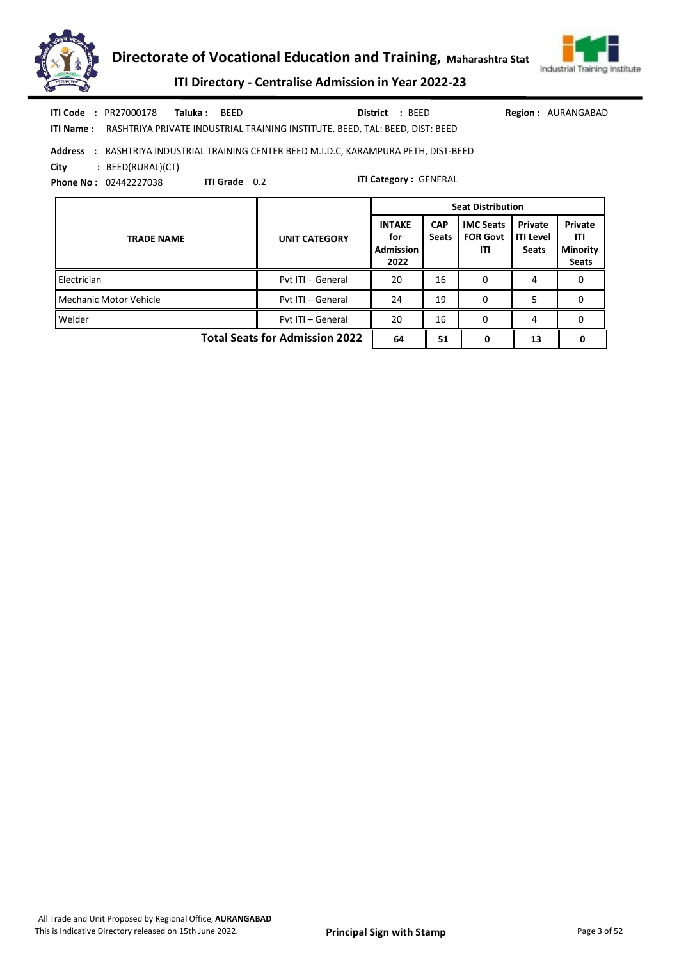



ITI Directory - Centralise Admission in Year 2022-23

|  | <b>ITI Code    :</b> PR27000178 | <b>Taluka:</b> BEED |                                                                                        | District : BEED |  |
|--|---------------------------------|---------------------|----------------------------------------------------------------------------------------|-----------------|--|
|  |                                 |                     | ITI Name: RASHTRIYA PRIVATE INDUSTRIAL TRAINING INSTITUTE, BEED, TAL: BEED, DIST: BEED |                 |  |

Region : AURANGABAD

Address : RASHTRIYA INDUSTRIAL TRAINING CENTER BEED M.I.D.C, KARAMPURA PETH, DIST-BEED

City : BEED(RURAL)(CT)

Phone No : 02442227038

ITI Grade 0.2

|                                       |                      |                                                  |                            | <b>Seat Distribution</b>                   |                                             |                                                   |
|---------------------------------------|----------------------|--------------------------------------------------|----------------------------|--------------------------------------------|---------------------------------------------|---------------------------------------------------|
| <b>TRADE NAME</b>                     | <b>UNIT CATEGORY</b> | <b>INTAKE</b><br>for<br><b>Admission</b><br>2022 | <b>CAP</b><br><b>Seats</b> | <b>IMC Seats</b><br><b>FOR Govt</b><br>ITI | Private<br><b>ITI Level</b><br><b>Seats</b> | Private<br>ITI<br><b>Minority</b><br><b>Seats</b> |
| Electrician                           | Pyt ITI - General    | 20                                               | 16                         | 0                                          | 4                                           |                                                   |
| <b>Mechanic Motor Vehicle</b>         | Pyt ITI - General    | 24                                               | 19                         | 0                                          | 5                                           | 0                                                 |
| Welder                                | Pyt ITI - General    | 20<br>16<br>0                                    |                            |                                            | 4                                           | 0                                                 |
| <b>Total Seats for Admission 2022</b> | 64                   | 51                                               | 0                          | 13                                         |                                             |                                                   |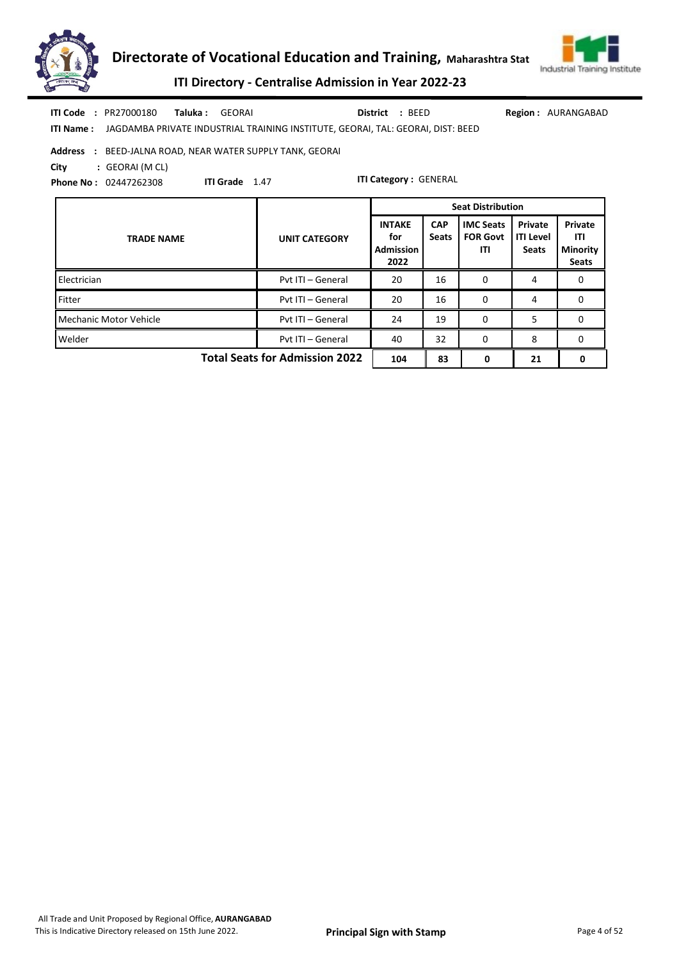



AURANGABAD

# ITI Directory - Centralise Admission in Year 2022-23

|      | <b>ITI Code : PR27000180</b> | <b>Taluka : GEORAI</b> |                                                                                           | District : BEED<br>Region:   |
|------|------------------------------|------------------------|-------------------------------------------------------------------------------------------|------------------------------|
|      |                              |                        | ITI Name: JAGDAMBA PRIVATE INDUSTRIAL TRAINING INSTITUTE, GEORAI, TAL: GEORAI, DIST: BEED |                              |
|      |                              |                        | <b>Address : BEED-JALNA ROAD, NEAR WATER SUPPLY TANK, GEORAI</b>                          |                              |
| Citv | : GEORAI (M CL)              |                        |                                                                                           |                              |
|      | <b>Phone No: 02447262308</b> | <b>ITI Grade</b> 1.47  |                                                                                           | <b>ITI Category: GENERAL</b> |

|                                       |                      | <b>Seat Distribution</b>                         |                            |                                            |                                             |                                                          |
|---------------------------------------|----------------------|--------------------------------------------------|----------------------------|--------------------------------------------|---------------------------------------------|----------------------------------------------------------|
| <b>TRADE NAME</b>                     | <b>UNIT CATEGORY</b> | <b>INTAKE</b><br>for<br><b>Admission</b><br>2022 | <b>CAP</b><br><b>Seats</b> | <b>IMC Seats</b><br><b>FOR Govt</b><br>ITI | Private<br><b>ITI Level</b><br><b>Seats</b> | <b>Private</b><br>ITI<br><b>Minority</b><br><b>Seats</b> |
| <b>Electrician</b>                    | Pyt ITI - General    | 20                                               | 16                         | 0                                          | 4                                           | 0                                                        |
| Fitter                                | Pyt ITI - General    | 20                                               | 16                         | 0                                          | 4                                           | 0                                                        |
| Mechanic Motor Vehicle                | Pyt ITI - General    | 24                                               | 19                         | 0                                          | 5                                           | 0                                                        |
| Welder                                | Pyt ITI - General    | 40                                               | 32                         | 0                                          | 8                                           | 0                                                        |
| <b>Total Seats for Admission 2022</b> | 104                  | 83                                               | 0                          | 21                                         | 0                                           |                                                          |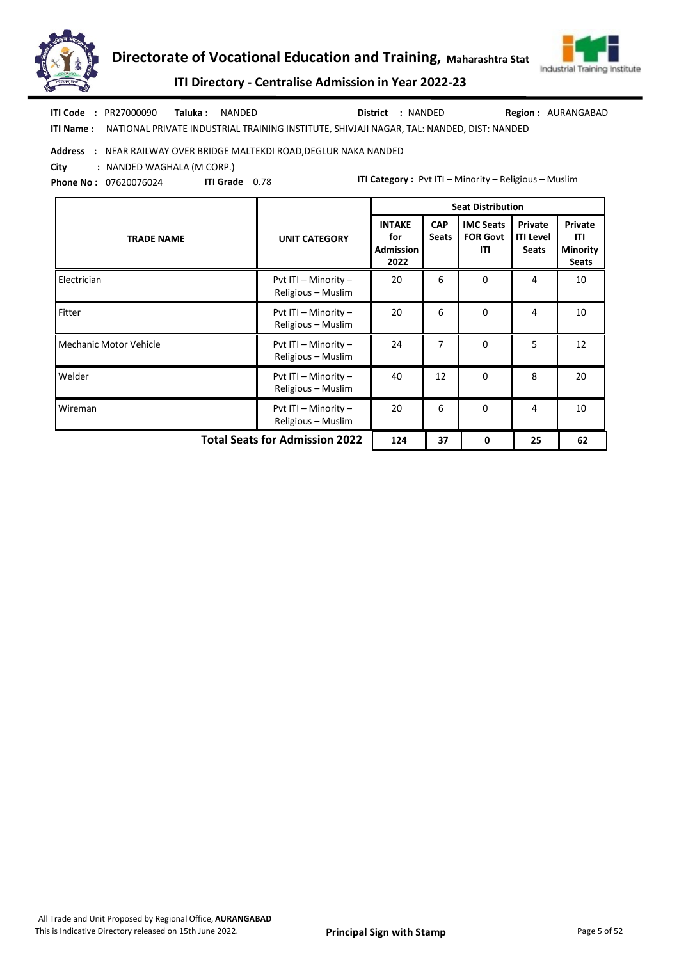



ITI Directory - Centralise Admission in Year 2022-23

ITI Name : NATIONAL PRIVATE INDUSTRIAL TRAINING INSTITUTE, SHIVJAJI NAGAR, TAL: NANDED, DIST: NANDED Taluka : NANDED District : NANDED ITI Code : PR27000090 Taluka : NANDED **District** : NANDED Region : AURANGABAD

#### Address : NEAR RAILWAY OVER BRIDGE MALTEKDI ROAD,DEGLUR NAKA NANDED

City : NANDED WAGHALA (M CORP.)

Phone No : 07620076024 ITI Grade 0.78 ITI Category : Pvt ITI – Minority – Religious – Muslim

|                                                               |                                            | <b>Seat Distribution</b>                         |                            |                                            |                                             |                                                   |
|---------------------------------------------------------------|--------------------------------------------|--------------------------------------------------|----------------------------|--------------------------------------------|---------------------------------------------|---------------------------------------------------|
| <b>TRADE NAME</b>                                             | <b>UNIT CATEGORY</b>                       | <b>INTAKE</b><br>for<br><b>Admission</b><br>2022 | <b>CAP</b><br><b>Seats</b> | <b>IMC Seats</b><br><b>FOR Govt</b><br>ITI | Private<br><b>ITI Level</b><br><b>Seats</b> | Private<br>ITI<br><b>Minority</b><br><b>Seats</b> |
| Electrician                                                   | Pvt ITI - Minority -<br>Religious - Muslim | 20                                               | 6                          | $\Omega$                                   | 4                                           | 10                                                |
| Fitter                                                        | Pvt ITI - Minority -<br>Religious - Muslim | 20                                               | 6                          | $\Omega$                                   | 4                                           | 10                                                |
| <b>Mechanic Motor Vehicle</b>                                 | Pvt ITI - Minority -<br>Religious - Muslim | 24                                               | $\overline{7}$             | $\Omega$                                   | 5                                           | 12                                                |
| Welder                                                        | Pvt ITI - Minority -<br>Religious - Muslim | 40                                               | 12                         | $\Omega$                                   | 8                                           | 20                                                |
| Wireman                                                       | Pvt ITI - Minority -<br>Religious - Muslim | 20                                               | 6                          | $\Omega$                                   | 4                                           | 10                                                |
| <b>Total Seats for Admission 2022</b><br>124<br>37<br>25<br>0 |                                            |                                                  |                            |                                            |                                             | 62                                                |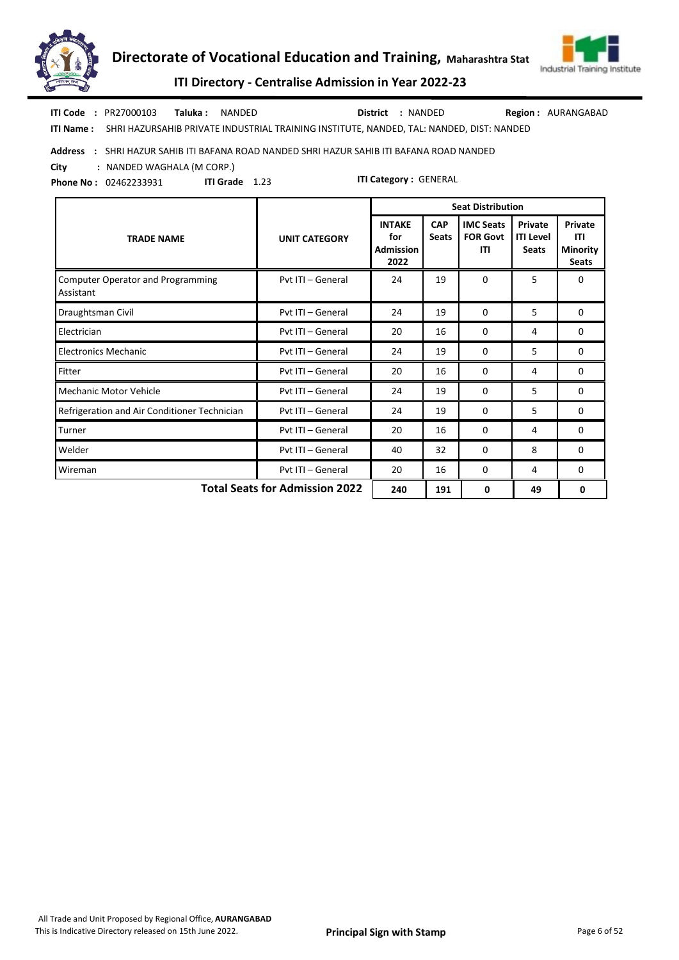



ITI Directory - Centralise Admission in Year 2022-23

Taluka : NANDED District : NANDED ITI Code : PR27000103 Taluka : NANDED **District** : NANDED Region : AURANGABAD

ITI Name : SHRI HAZURSAHIB PRIVATE INDUSTRIAL TRAINING INSTITUTE, NANDED, TAL: NANDED, DIST: NANDED

#### Address : SHRI HAZUR SAHIB ITI BAFANA ROAD NANDED SHRI HAZUR SAHIB ITI BAFANA ROAD NANDED

City : NANDED WAGHALA (M CORP.)

Phone No : 02462233931 ITI Category : GENERAL ITI Grade 1.23

|                                                                     |                      | <b>Seat Distribution</b>                         |                            |                                            |                                             |                                                   |  |  |
|---------------------------------------------------------------------|----------------------|--------------------------------------------------|----------------------------|--------------------------------------------|---------------------------------------------|---------------------------------------------------|--|--|
| <b>TRADE NAME</b>                                                   | <b>UNIT CATEGORY</b> | <b>INTAKE</b><br>for<br><b>Admission</b><br>2022 | <b>CAP</b><br><b>Seats</b> | <b>IMC Seats</b><br><b>FOR Govt</b><br>ITI | Private<br><b>ITI Level</b><br><b>Seats</b> | Private<br>ITI<br><b>Minority</b><br><b>Seats</b> |  |  |
| <b>Computer Operator and Programming</b><br>Assistant               | Pvt ITI - General    | 24                                               | 19                         | $\Omega$                                   | 5                                           | 0                                                 |  |  |
| Draughtsman Civil                                                   | Pvt ITI - General    | 24                                               | 19                         | $\Omega$                                   | 5                                           | $\Omega$                                          |  |  |
| Electrician                                                         | Pyt ITI - General    | 20                                               | 16                         | 0                                          | 4                                           | 0                                                 |  |  |
| <b>Electronics Mechanic</b>                                         | Pvt ITI - General    | 24                                               | 19                         | 0                                          | 5                                           | 0                                                 |  |  |
| Fitter                                                              | Pvt ITI - General    | 20                                               | 16                         | 0                                          | 4                                           | 0                                                 |  |  |
| <b>Mechanic Motor Vehicle</b>                                       | Pyt ITI - General    | 24                                               | 19                         | $\Omega$                                   | 5                                           | $\Omega$                                          |  |  |
| Refrigeration and Air Conditioner Technician                        | Pvt ITI - General    | 24                                               | 19                         | 0                                          | 5                                           | 0                                                 |  |  |
| Turner                                                              | Pvt ITI - General    | 20                                               | 16                         | 0                                          | 4                                           | 0                                                 |  |  |
| Welder                                                              | Pyt ITI - General    | 40                                               | 32                         | 0                                          | 8                                           | 0                                                 |  |  |
| Wireman                                                             | Pvt ITI - General    | 20                                               | 16                         | 0                                          | 4                                           | 0                                                 |  |  |
| <b>Total Seats for Admission 2022</b><br>191<br>240<br>49<br>0<br>0 |                      |                                                  |                            |                                            |                                             |                                                   |  |  |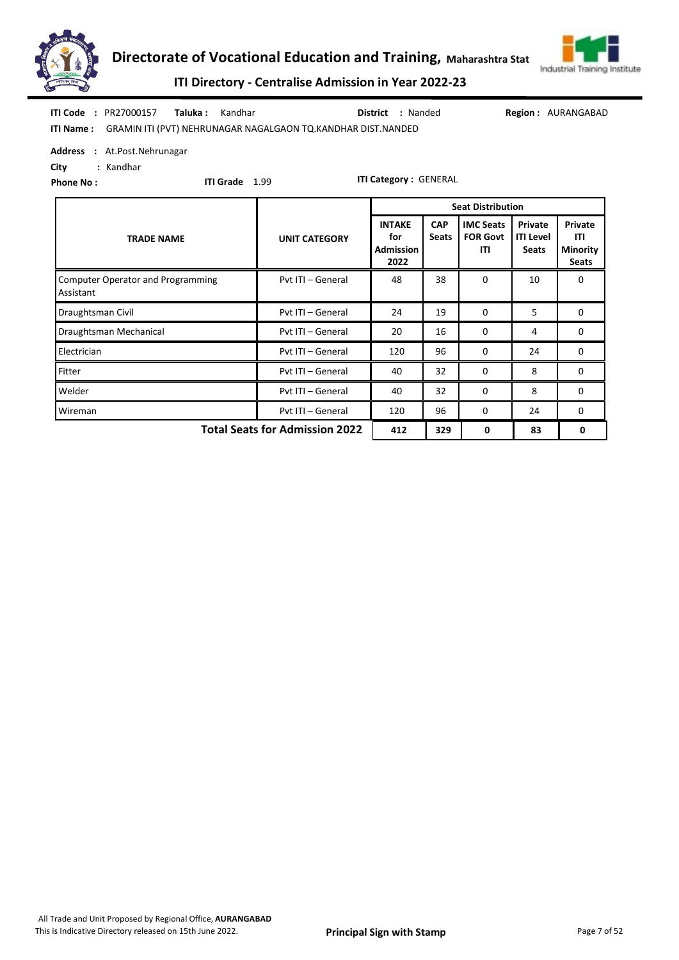



ITI Directory - Centralise Admission in Year 2022-23

|  | <b>ITI Code : PR27000157</b> | <b>Taluka:</b> Kandhar |                                                                        | <b>District : Nanded</b> | Regi |
|--|------------------------------|------------------------|------------------------------------------------------------------------|--------------------------|------|
|  |                              |                        | ITI Name: GRAMIN ITI (PVT) NEHRUNAGAR NAGALGAON TQ.KANDHAR DIST.NANDED |                          |      |

ion: AURANGABAD

Address : At.Post.Nehrunagar

City : Kandhar Phone No :

ITI Grade 1.99

|                                                                     |                      | <b>Seat Distribution</b>                         |                            |                                            |                                             |                                            |  |  |
|---------------------------------------------------------------------|----------------------|--------------------------------------------------|----------------------------|--------------------------------------------|---------------------------------------------|--------------------------------------------|--|--|
| <b>TRADE NAME</b>                                                   | <b>UNIT CATEGORY</b> | <b>INTAKE</b><br>for<br><b>Admission</b><br>2022 | <b>CAP</b><br><b>Seats</b> | <b>IMC Seats</b><br><b>FOR Govt</b><br>ITI | Private<br><b>ITI Level</b><br><b>Seats</b> | Private<br>ITI<br><b>Minority</b><br>Seats |  |  |
| <b>Computer Operator and Programming</b><br>Assistant               | 38                   | 0                                                | 10                         | 0                                          |                                             |                                            |  |  |
| Draughtsman Civil                                                   | Pvt ITI - General    | 24                                               | 19                         | 0                                          | 5                                           | 0                                          |  |  |
| Draughtsman Mechanical                                              | Pvt ITI - General    | 20                                               | 16                         | 0                                          | 4                                           | 0                                          |  |  |
| Electrician                                                         | Pvt ITI - General    | 120                                              | 96                         | $\Omega$                                   | 24                                          | $\Omega$                                   |  |  |
| Fitter                                                              | Pvt ITI - General    | 40                                               | 32                         | $\Omega$                                   | 8                                           | 0                                          |  |  |
| Welder                                                              | Pvt ITI - General    | 40                                               | 32                         | $\Omega$                                   | 8                                           | 0                                          |  |  |
| Wireman                                                             | Pvt ITI - General    | 96<br>120<br>0                                   |                            | 24                                         | 0                                           |                                            |  |  |
| <b>Total Seats for Admission 2022</b><br>412<br>329<br>83<br>0<br>0 |                      |                                                  |                            |                                            |                                             |                                            |  |  |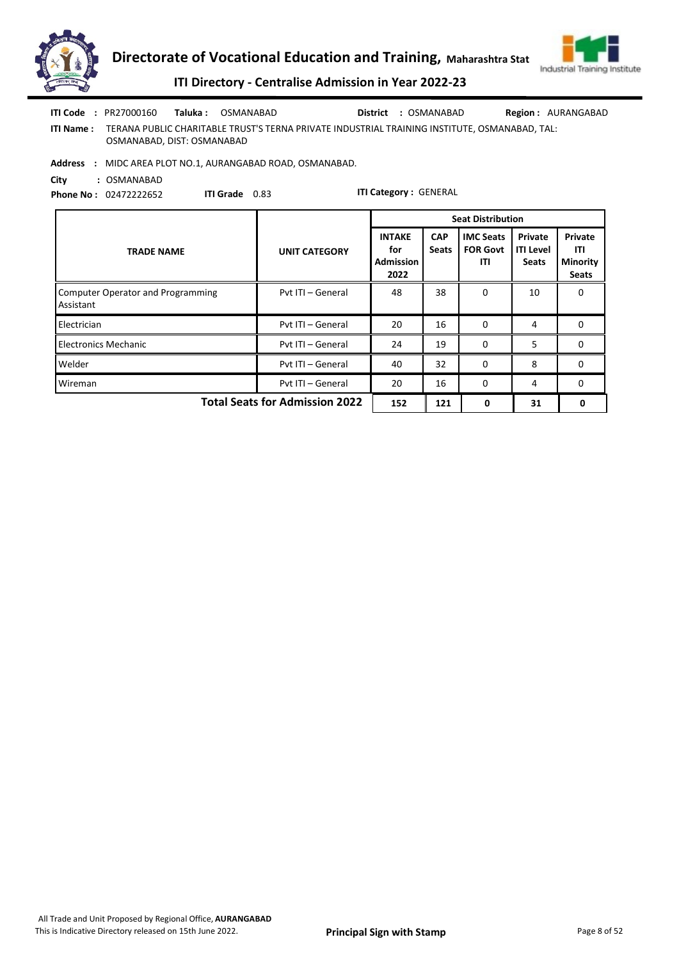



ITI Directory - Centralise Admission in Year 2022-23

|                  | <b>ITI Code : PR27000160</b> | Taluka : | OSMANABAD                                                                                     | District : OSMANABAD | <b>Region: AURANGABAD</b> |
|------------------|------------------------------|----------|-----------------------------------------------------------------------------------------------|----------------------|---------------------------|
| <b>ITI Name:</b> | OSMANABAD, DIST: OSMANABAD   |          | TERANA PUBLIC CHARITABLE TRUST'S TERNA PRIVATE INDUSTRIAL TRAINING INSTITUTE. OSMANABAD. TAL: |                      |                           |

Address : MIDC AREA PLOT NO.1, AURANGABAD ROAD, OSMANABAD.

City : OSMANABAD Phone No : 02472222652

ITI Grade 0.83

|                                                       |                      | <b>Seat Distribution</b>                                                       |    |                                            |                                             |                                                          |  |
|-------------------------------------------------------|----------------------|--------------------------------------------------------------------------------|----|--------------------------------------------|---------------------------------------------|----------------------------------------------------------|--|
| <b>TRADE NAME</b>                                     | <b>UNIT CATEGORY</b> | <b>INTAKE</b><br><b>CAP</b><br><b>Seats</b><br>for<br><b>Admission</b><br>2022 |    | <b>IMC Seats</b><br><b>FOR Govt</b><br>ITI | Private<br><b>ITI Level</b><br><b>Seats</b> | <b>Private</b><br>ITI<br><b>Minority</b><br><b>Seats</b> |  |
| <b>Computer Operator and Programming</b><br>Assistant | Pyt ITI - General    | 48                                                                             | 38 | 0                                          | 10                                          | 0                                                        |  |
| Electrician                                           | Pvt ITI - General    | 20                                                                             | 16 | 0                                          | 4                                           | 0                                                        |  |
| <b>Electronics Mechanic</b>                           | Pvt ITI - General    | 24                                                                             | 19 | $\Omega$                                   | 5                                           | 0                                                        |  |
| Welder                                                | Pvt ITI - General    | 40                                                                             | 32 | $\Omega$                                   | 8                                           | $\mathbf{0}$                                             |  |
| Wireman                                               | Pyt ITI - General    | 20                                                                             | 16 | 0                                          | 4                                           | 0                                                        |  |
| <b>Total Seats for Admission 2022</b>                 | 152                  | 121                                                                            | 0  | 31                                         | 0                                           |                                                          |  |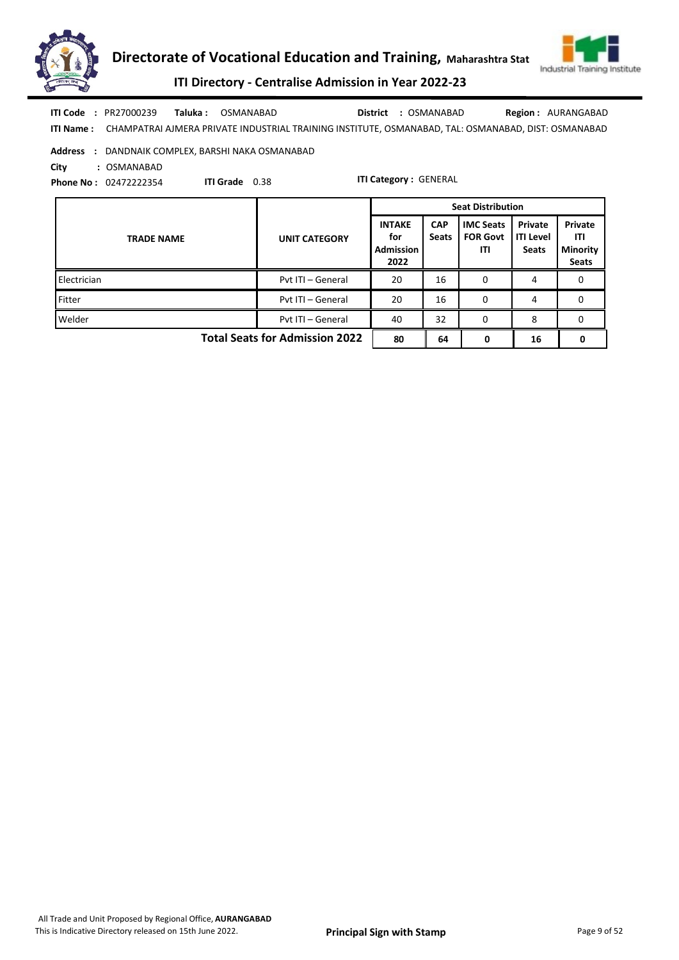



ITI Directory - Centralise Admission in Year 2022-23

| ITI Code                                          | : PR27000239                 | Taluka : | OSMANABAD             | : OSMANABAD<br>District                                                                                       | <b>Region: AURANGABAD</b> |  |  |
|---------------------------------------------------|------------------------------|----------|-----------------------|---------------------------------------------------------------------------------------------------------------|---------------------------|--|--|
|                                                   |                              |          |                       | ITI Name: CHAMPATRAI AJMERA PRIVATE INDUSTRIAL TRAINING INSTITUTE, OSMANABAD, TAL: OSMANABAD, DIST: OSMANABAD |                           |  |  |
| Address : DANDNAIK COMPLEX, BARSHI NAKA OSMANABAD |                              |          |                       |                                                                                                               |                           |  |  |
| City                                              | : OSMANABAD                  |          |                       |                                                                                                               |                           |  |  |
|                                                   | <b>Phone No: 02472222354</b> |          | <b>ITI Grade</b> 0.38 | <b>ITI Category: GENERAL</b>                                                                                  |                           |  |  |

TRADE NAME UNIT CATEGORY INTAKE for Admission 2022 **CAP** Seats IMC Seats FOR Govt ITI Private ITI Level **Seats** Private ITI Minority Seats Seat Distribution Electrician **Electrician** Pvt ITI – General 20 16 0 4 0 Fitter **Fitter Pvt ITI – General** 20 16 0 4 0 Welder **Product Contains Container Port ITI** – General 40 32 0 8 0 Total Seats for Admission 2022  $\begin{array}{|c|c|c|c|c|c|c|c|} \hline \end{array}$  64 0 16 0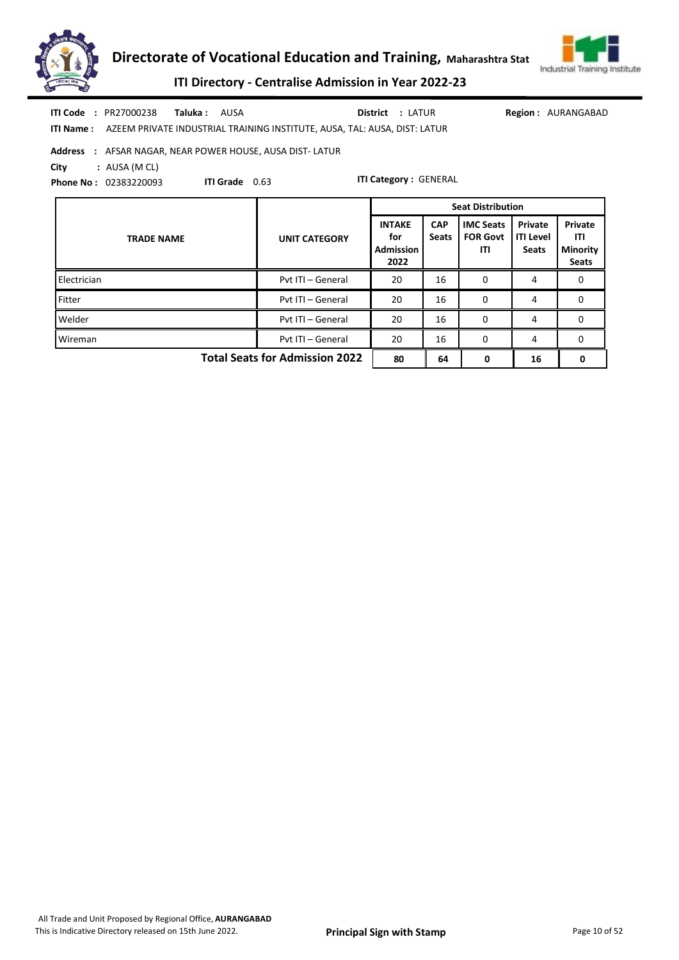



# ITI Directory - Centralise Admission in Year 2022-23

| ITI Code: PR27000238 Taluka: AUSA<br><b>ITI Name :     AZEEM PRIVATE INDUSTRIAL TRAINING INSTITUTE, AUSA, TAL: AUSA, DIST: LATUR</b>       |                                         | <b>District : LATUR</b>                          |                            |                                            |                                      | <b>Region: AURANGABAD</b>                  |  |
|--------------------------------------------------------------------------------------------------------------------------------------------|-----------------------------------------|--------------------------------------------------|----------------------------|--------------------------------------------|--------------------------------------|--------------------------------------------|--|
| <b>Address : AFSAR NAGAR, NEAR POWER HOUSE, AUSA DIST-LATUR</b><br>City<br>: AUSA (M CL)<br><b>ITI Grade</b> 0.63<br>Phone No: 02383220093 |                                         | <b>ITI Category: GENERAL</b>                     |                            |                                            |                                      |                                            |  |
| <b>Seat Distribution</b>                                                                                                                   |                                         |                                                  |                            |                                            |                                      |                                            |  |
| <b>TRADE NAME</b>                                                                                                                          | <b>UNIT CATEGORY</b>                    | <b>INTAKE</b><br>for<br><b>Admission</b><br>2022 | <b>CAP</b><br><b>Seats</b> | <b>IMC Seats</b><br><b>FOR Govt</b><br>ITI | Private<br><b>ITI Level</b><br>Seats | Private<br>ITI<br><b>Minority</b><br>Seats |  |
| Electrician                                                                                                                                | Pvt ITI - General                       | 20                                               | 16                         | 0                                          | 4                                    | 0                                          |  |
| Fitter                                                                                                                                     | Pyt ITI - General                       | 0<br>20<br>16<br>$\mathbf{0}$<br>4               |                            |                                            |                                      |                                            |  |
| Welder                                                                                                                                     | Pvt ITI - General<br>20<br>16<br>0<br>4 |                                                  |                            |                                            |                                      | 0                                          |  |
| Wireman                                                                                                                                    | Pyt ITI - General                       | 20                                               | 16                         | 0                                          | 4                                    | $\Omega$                                   |  |
|                                                                                                                                            |                                         |                                                  |                            |                                            |                                      |                                            |  |

Total Seats for Admission 2022 80 64 0 16 0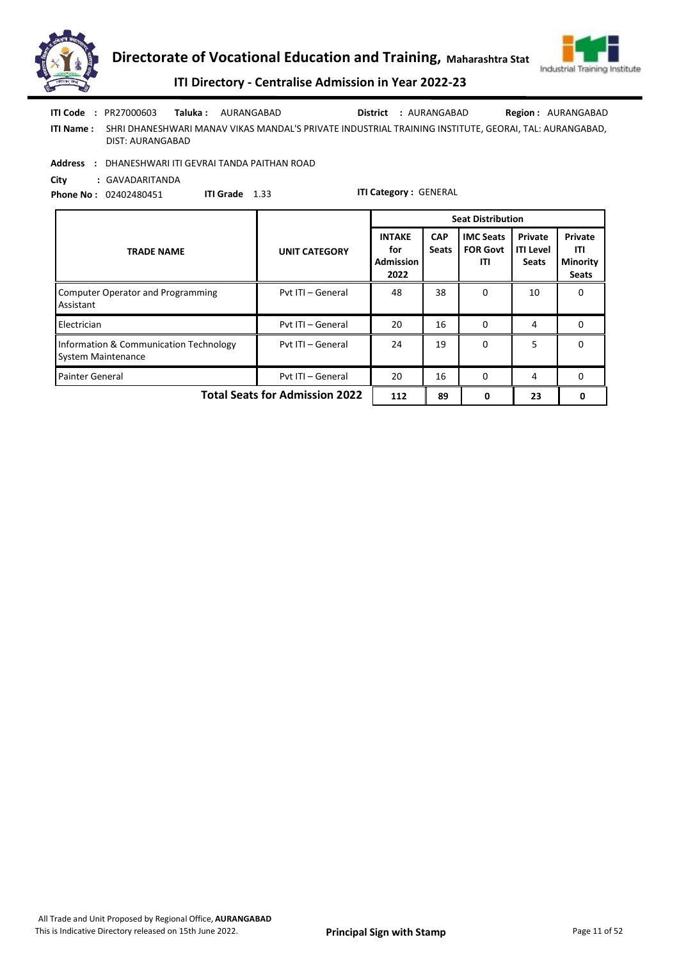



ITI Directory - Centralise Admission in Year 2022-23

|                  | <b>ITI Code</b> : $PR27000603$ | Taluka : . | AURANGABAD                                                                                            | District : AURANGABAD | <b>Region: AURANGABAD</b> |
|------------------|--------------------------------|------------|-------------------------------------------------------------------------------------------------------|-----------------------|---------------------------|
| <b>ITI Name:</b> | DIST: AURANGABAD               |            | SHRI DHANESHWARI MANAV VIKAS MANDAL'S PRIVATE INDUSTRIAL TRAINING INSTITUTE. GEORAI. TAL: AURANGABAD. |                       |                           |

Address : DHANESHWARI ITI GEVRAI TANDA PAITHAN ROAD

City : GAVADARITANDA

Phone No : 02402480451 ITI Grade 1.33

|                                                                     |                      | <b>Seat Distribution</b>                         |                            |                                            |                                             |                                                   |
|---------------------------------------------------------------------|----------------------|--------------------------------------------------|----------------------------|--------------------------------------------|---------------------------------------------|---------------------------------------------------|
| <b>TRADE NAME</b>                                                   | <b>UNIT CATEGORY</b> | <b>INTAKE</b><br>for<br><b>Admission</b><br>2022 | <b>CAP</b><br><b>Seats</b> | <b>IMC Seats</b><br><b>FOR Govt</b><br>ITI | Private<br><b>ITI Level</b><br><b>Seats</b> | Private<br>ITI<br><b>Minority</b><br><b>Seats</b> |
| <b>Computer Operator and Programming</b><br>Assistant               | Pyt ITI - General    | 48                                               | 38                         | 0                                          | 10                                          | 0                                                 |
| Electrician                                                         | Pyt ITI - General    | 20                                               | 16                         | $\Omega$                                   | 4                                           | 0                                                 |
| Information & Communication Technology<br><b>System Maintenance</b> | Pyt ITI - General    | 24                                               | 19                         | $\Omega$                                   | 5                                           | 0                                                 |
| <b>Painter General</b>                                              | Pvt ITI - General    | 16<br>20                                         |                            | $\Omega$                                   | 4                                           | 0                                                 |
| <b>Total Seats for Admission 2022</b>                               | 112                  | 89                                               | 0                          | 23                                         | 0                                           |                                                   |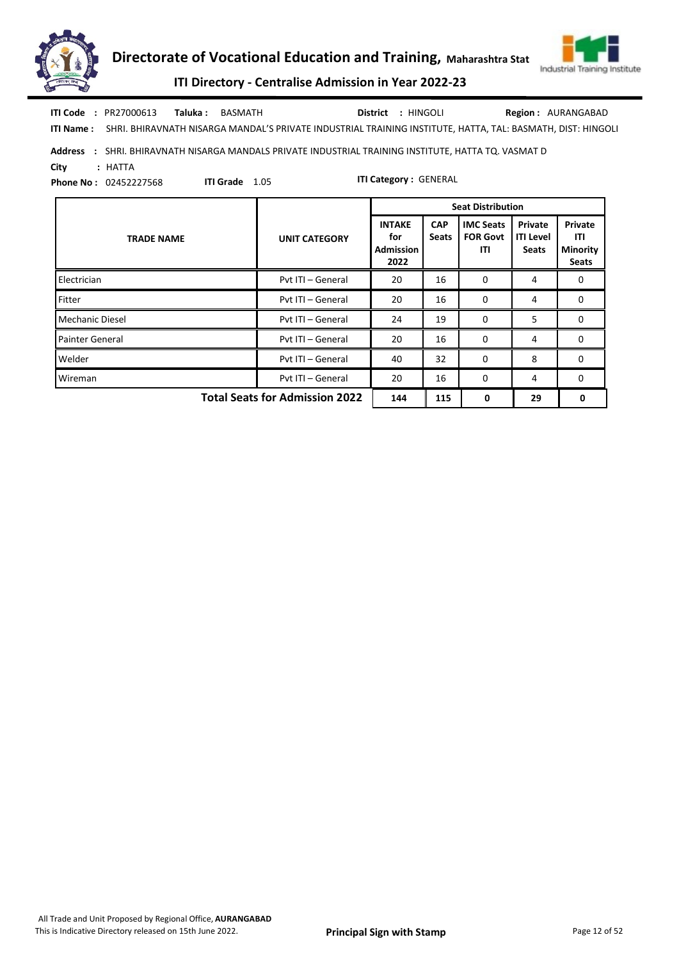



ITI Directory - Centralise Admission in Year 2022-23

| ITI Code | : PR27000613 | <b>Taluka:</b> BASMATH                                                                                                | District : HINGOLI | <b>Region: AURANGABAD</b> |
|----------|--------------|-----------------------------------------------------------------------------------------------------------------------|--------------------|---------------------------|
|          |              | ITI Name: SHRI. BHIRAVNATH NISARGA MANDAL'S PRIVATE INDUSTRIAL TRAINING INSTITUTE, HATTA, TAL: BASMATH, DIST: HINGOLI |                    |                           |

## Address : SHRI. BHIRAVNATH NISARGA MANDALS PRIVATE INDUSTRIAL TRAINING INSTITUTE, HATTA TQ. VASMAT D City : HATTA

Phone No : 02452227568

ITI Grade 1.05

|                                       |                      | <b>Seat Distribution</b>                         |                            |                                            |                                             |                                                   |
|---------------------------------------|----------------------|--------------------------------------------------|----------------------------|--------------------------------------------|---------------------------------------------|---------------------------------------------------|
| <b>TRADE NAME</b>                     | <b>UNIT CATEGORY</b> | <b>INTAKE</b><br>for<br><b>Admission</b><br>2022 | <b>CAP</b><br><b>Seats</b> | <b>IMC Seats</b><br><b>FOR Govt</b><br>ITI | Private<br><b>ITI Level</b><br><b>Seats</b> | Private<br>ITI<br><b>Minority</b><br><b>Seats</b> |
| Electrician                           | Pyt ITI - General    | 20                                               | 16                         | 0                                          | 4                                           | 0                                                 |
| Fitter                                | Pyt ITI - General    | 20                                               | 16                         | 0                                          | 4                                           | 0                                                 |
| Mechanic Diesel                       | Pvt ITI - General    | 24                                               | 19                         | 0                                          | 5                                           | $\Omega$                                          |
| <b>Painter General</b>                | Pyt ITI - General    | 20                                               | 16                         | 0                                          | 4                                           | 0                                                 |
| Welder                                | Pyt ITI - General    | 40                                               | 32                         | 0                                          | 8                                           | $\Omega$                                          |
| Wireman                               | Pvt ITI - General    | 20                                               | 16                         | 0                                          | 4                                           | 0                                                 |
| <b>Total Seats for Admission 2022</b> | 144                  | 115                                              | 0                          | 29                                         | 0                                           |                                                   |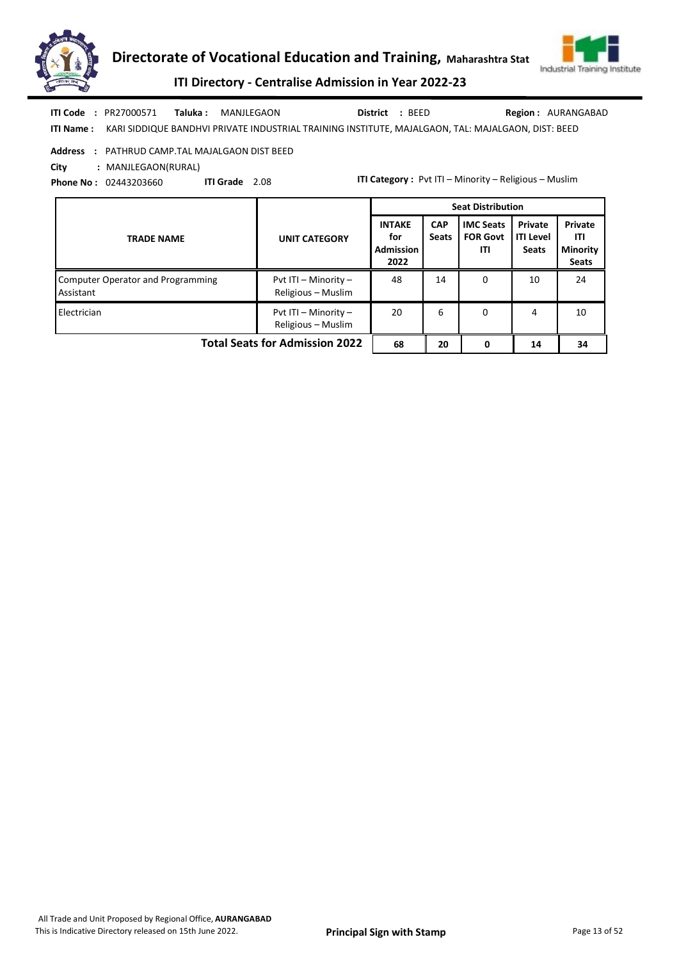



ITI Directory - Centralise Admission in Year 2022-23

ITI Name : KARI SIDDIQUE BANDHVI PRIVATE INDUSTRIAL TRAINING INSTITUTE, MAJALGAON, TAL: MAJALGAON, DIST: BEED Taluka : MANJLEGAON District : BEED ITI Code : PR27000571 Taluka : MANJLEGAON District : BEED Region : AURANGABAD

### Address : PATHRUD CAMP.TAL MAJALGAON DIST BEED

City : MANJLEGAON(RURAL)

Phone No : 02443203660 ITI Grade 2.08 ITI Category : Pvt ITI – Minority – Religious – Muslim

|                                                       |                                                | <b>Seat Distribution</b>                         |                            |                                            |                                             |                                                   |  |
|-------------------------------------------------------|------------------------------------------------|--------------------------------------------------|----------------------------|--------------------------------------------|---------------------------------------------|---------------------------------------------------|--|
| <b>TRADE NAME</b>                                     | <b>UNIT CATEGORY</b>                           | <b>INTAKE</b><br>for<br><b>Admission</b><br>2022 | <b>CAP</b><br><b>Seats</b> | <b>IMC Seats</b><br><b>FOR Govt</b><br>ITI | Private<br><b>ITI Level</b><br><b>Seats</b> | Private<br>ITI<br><b>Minority</b><br><b>Seats</b> |  |
| <b>Computer Operator and Programming</b><br>Assistant | Pvt ITI - Minority -<br>Religious - Muslim     | 48                                               | 14                         | 0                                          | 10                                          | 24                                                |  |
| Electrician                                           | Pvt ITI $-$ Minority $-$<br>Religious - Muslim | 20                                               | 6                          | 0                                          | 4                                           | 10                                                |  |
| <b>Total Seats for Admission 2022</b>                 | 68                                             | 20                                               | 0                          | 14                                         | 34                                          |                                                   |  |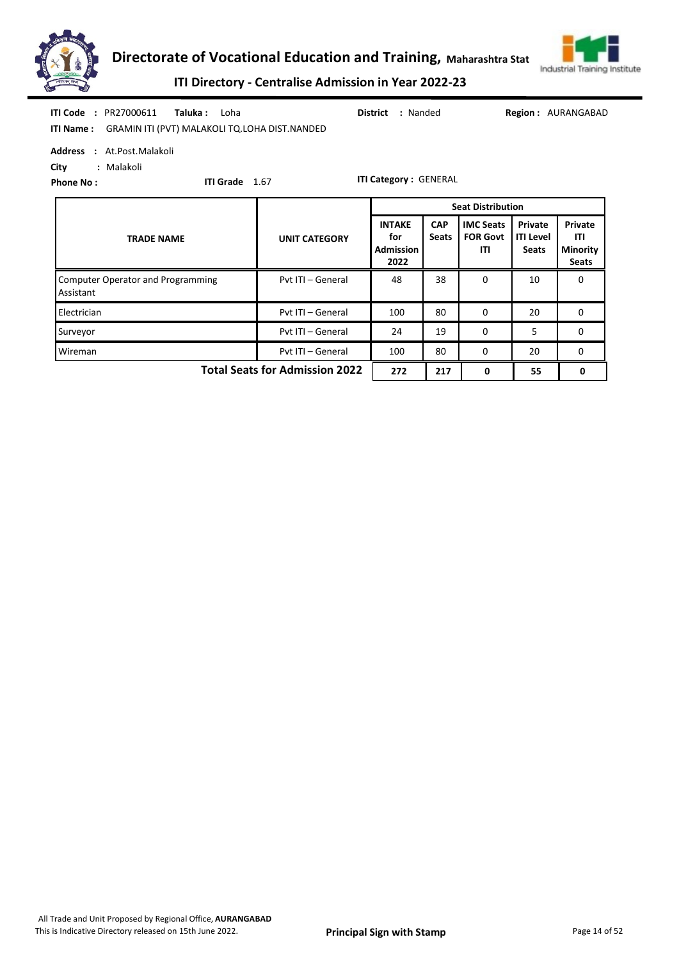



ITI Directory - Centralise Admission in Year 2022-23

| <b>ITI Code : PR27000611</b><br>Taluka :<br>Loha<br>ITI Name: GRAMIN ITI (PVT) MALAKOLI TQ.LOHA DIST.NANDED            |                      | : Nanded<br>District                             |                            |                                            |                                             | <b>Region: AURANGABAD</b>                                |  |  |  |
|------------------------------------------------------------------------------------------------------------------------|----------------------|--------------------------------------------------|----------------------------|--------------------------------------------|---------------------------------------------|----------------------------------------------------------|--|--|--|
| Address : At.Post.Malakoli<br>City<br>: Malakoli<br><b>ITI Category: GENERAL</b><br>ITI Grade 1.67<br><b>Phone No:</b> |                      |                                                  |                            |                                            |                                             |                                                          |  |  |  |
|                                                                                                                        |                      | <b>Seat Distribution</b>                         |                            |                                            |                                             |                                                          |  |  |  |
| <b>TRADE NAME</b>                                                                                                      | <b>UNIT CATEGORY</b> | <b>INTAKE</b><br>for<br><b>Admission</b><br>2022 | <b>CAP</b><br><b>Seats</b> | <b>IMC Seats</b><br><b>FOR Govt</b><br>ITI | Private<br><b>ITI Level</b><br><b>Seats</b> | <b>Private</b><br>ITI<br><b>Minority</b><br><b>Seats</b> |  |  |  |
| <b>Computer Operator and Programming</b><br>Assistant                                                                  | Pvt ITI - General    | 48                                               | 38                         | $\Omega$                                   | 10                                          | 0                                                        |  |  |  |
| Electrician                                                                                                            | Pvt ITI - General    | 100                                              | 80                         | 0                                          | 20                                          | 0                                                        |  |  |  |

Surveyor **Pvt ITI – General 24 19 0 5 0** 0 Wireman **Wireman** Pvt ITI – General 100 80 0 20 0

Total Seats for Admission 2022 272 217 0 55 0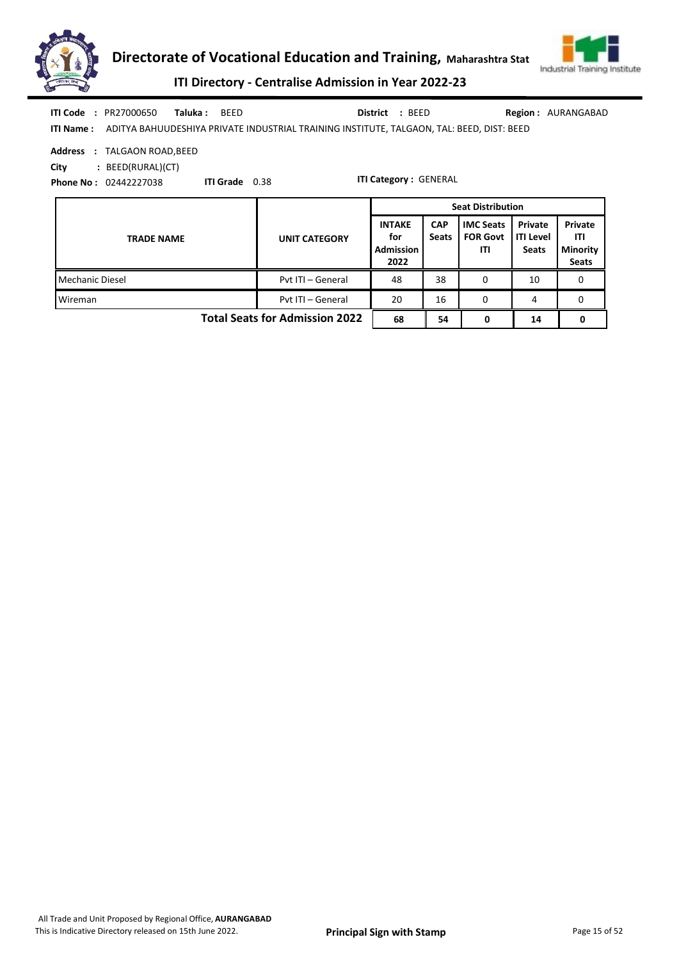



ITI Directory - Centralise Admission in Year 2022-23

|  | <b>ITI Code : PR27000650</b> | Taluka: BEED | District : BEED                                                                                            | <b>Region: AURANGABAD</b> |
|--|------------------------------|--------------|------------------------------------------------------------------------------------------------------------|---------------------------|
|  |                              |              | <b>ITI Name:</b> ADITYA BAHUUDESHIYA PRIVATE INDUSTRIAL TRAINING INSTITUTE, TALGAON, TAL: BEED, DIST: BEED |                           |

Address : TALGAON ROAD,BEED

City : BEED(RURAL)(CT)

Phone No : 02442227038

ITI Grade 0.38

|                                       |                      | <b>Seat Distribution</b>                         |                            |                                            |                                             |                                                   |
|---------------------------------------|----------------------|--------------------------------------------------|----------------------------|--------------------------------------------|---------------------------------------------|---------------------------------------------------|
| <b>TRADE NAME</b>                     | <b>UNIT CATEGORY</b> | <b>INTAKE</b><br>for<br><b>Admission</b><br>2022 | <b>CAP</b><br><b>Seats</b> | <b>IMC Seats</b><br><b>FOR Govt</b><br>ITI | Private<br><b>ITI Level</b><br><b>Seats</b> | Private<br>ITI<br><b>Minority</b><br><b>Seats</b> |
| Mechanic Diesel                       | Pvt ITI - General    | 48                                               | 38                         | 0                                          | 10                                          | 0                                                 |
| Wireman                               | Pvt ITI - General    | 20                                               | 16                         | 0                                          | 4                                           | 0                                                 |
| <b>Total Seats for Admission 2022</b> | 68                   | 54                                               | 0                          | 14                                         | 0                                           |                                                   |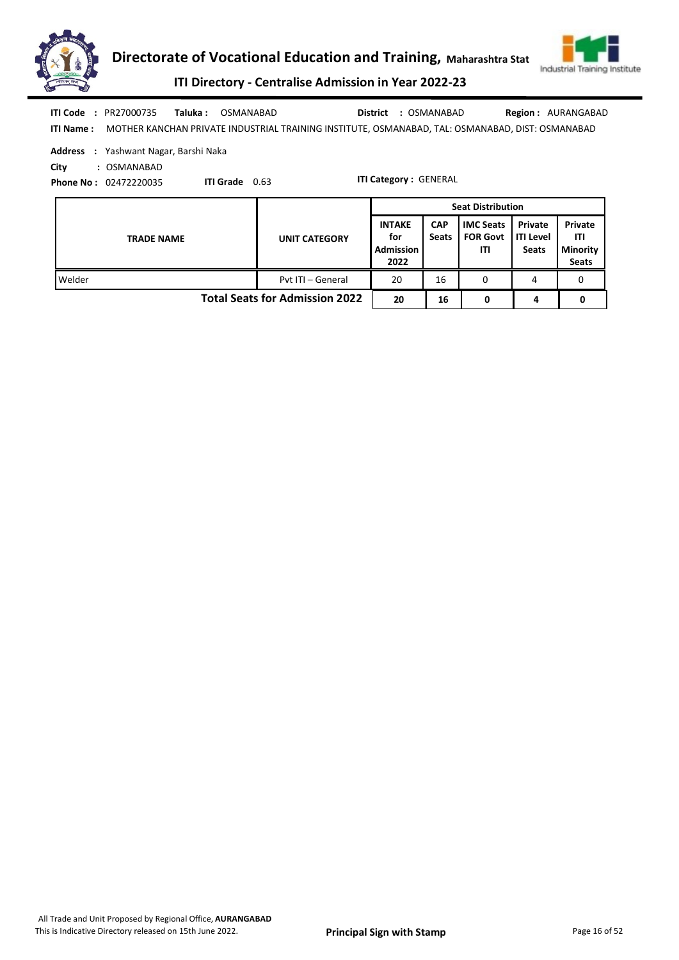



ITI Directory - Centralise Admission in Year 2022-23

|            | <b>ITI Code : PR27000735</b>                 | Taluka : | OSMANABAD             | : OSMANABAD<br>District                                                                          | <b>Region: AURANGABAD</b> |
|------------|----------------------------------------------|----------|-----------------------|--------------------------------------------------------------------------------------------------|---------------------------|
| ITI Name : |                                              |          |                       | MOTHER KANCHAN PRIVATE INDUSTRIAL TRAINING INSTITUTE, OSMANABAD, TAL: OSMANABAD, DIST: OSMANABAD |                           |
|            | <b>Address</b> : Yashwant Nagar, Barshi Naka |          |                       |                                                                                                  |                           |
| City       | : OSMANABAD                                  |          |                       |                                                                                                  |                           |
|            | <b>Phone No: 02472220035</b>                 |          | <b>ITI Grade</b> 0.63 | <b>ITI Category: GENERAL</b>                                                                     |                           |
|            |                                              |          |                       |                                                                                                  |                           |

|                   |                                       | <b>Seat Distribution</b>                         |                            |                                            |                                               |                                            |  |
|-------------------|---------------------------------------|--------------------------------------------------|----------------------------|--------------------------------------------|-----------------------------------------------|--------------------------------------------|--|
| <b>TRADE NAME</b> | <b>UNIT CATEGORY</b>                  | <b>INTAKE</b><br>for<br><b>Admission</b><br>2022 | <b>CAP</b><br><b>Seats</b> | <b>IMC Seats</b><br><b>FOR Govt</b><br>ΙTΙ | Private<br><b>I</b> ITI Level<br><b>Seats</b> | Private<br>ITI<br>Minority<br><b>Seats</b> |  |
| Welder            | Pyt ITI - General                     | 20                                               | 16                         | 0                                          |                                               | 0                                          |  |
|                   | <b>Total Seats for Admission 2022</b> | 20                                               | 16                         | 0                                          | 4                                             |                                            |  |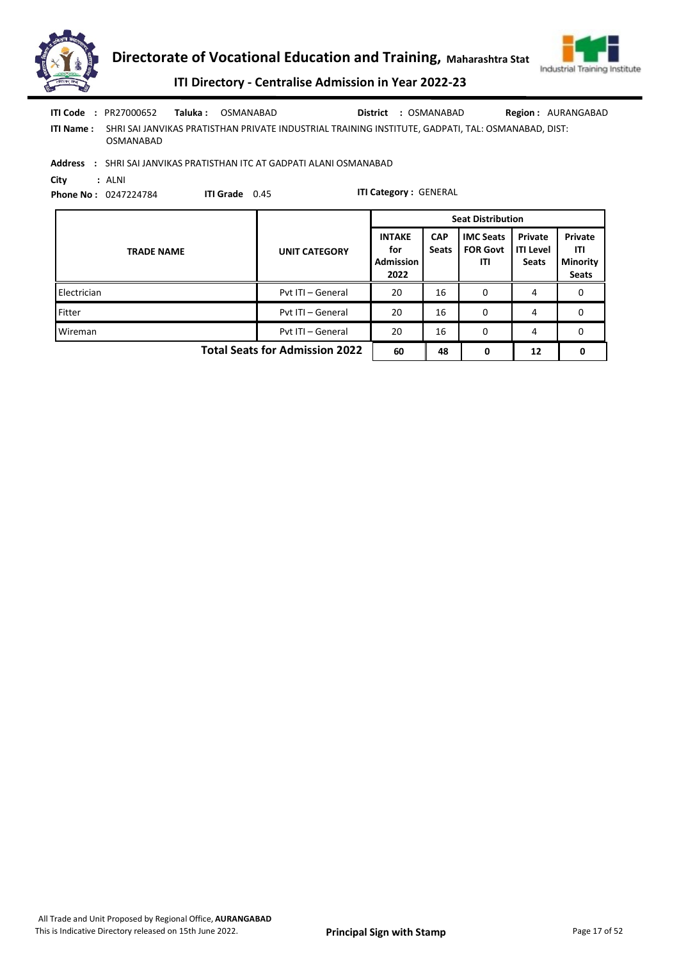



Total Seats for Admission 2022 60 48 0 12 0

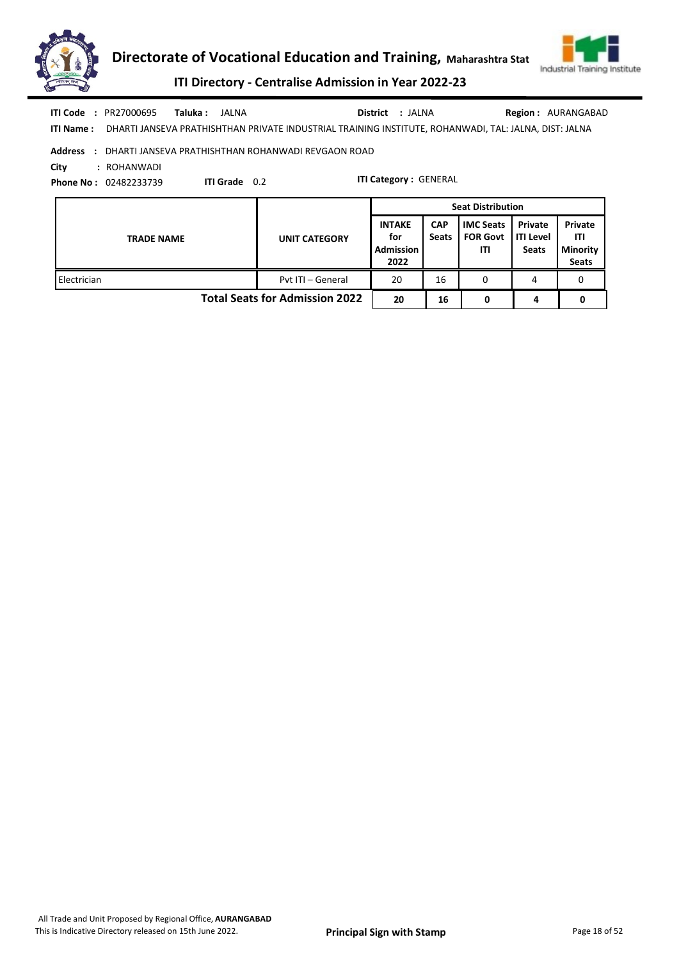



ITI Directory - Centralise Admission in Year 2022-23

| ITI Code<br>PR27000695<br>Taluka :<br>$\mathbf{r}$<br>ITI Name : | JALNA<br>DHARTI JANSEVA PRATHISHTHAN PRIVATE INDUSTRIAL TRAINING INSTITUTE, ROHANWADI, TAL: JALNA, DIST: JALNA | District : JALNA                                 |                            |                                            |                                             | Region: AURANGABAD                         |
|------------------------------------------------------------------|----------------------------------------------------------------------------------------------------------------|--------------------------------------------------|----------------------------|--------------------------------------------|---------------------------------------------|--------------------------------------------|
| Address :<br>City<br>: ROHANWADI<br><b>Phone No: 02482233739</b> | DHARTI JANSEVA PRATHISHTHAN ROHANWADI REVGAON ROAD<br>ITI Grade 0.2                                            | <b>ITI Category: GENERAL</b>                     |                            |                                            |                                             |                                            |
|                                                                  |                                                                                                                |                                                  |                            |                                            |                                             |                                            |
|                                                                  |                                                                                                                |                                                  |                            | <b>Seat Distribution</b>                   |                                             |                                            |
| <b>TRADE NAME</b>                                                | <b>UNIT CATEGORY</b>                                                                                           | <b>INTAKE</b><br>for<br><b>Admission</b><br>2022 | <b>CAP</b><br><b>Seats</b> | <b>IMC Seats</b><br><b>FOR Govt</b><br>ITI | Private<br><b>ITI Level</b><br><b>Seats</b> | Private<br>ITL<br><b>Minority</b><br>Seats |

Total Seats for Admission 2022 20  $\begin{array}{|c|c|c|c|c|c|c|c|c|} \hline 16 & 0 & 4 & 0 \ \hline \end{array}$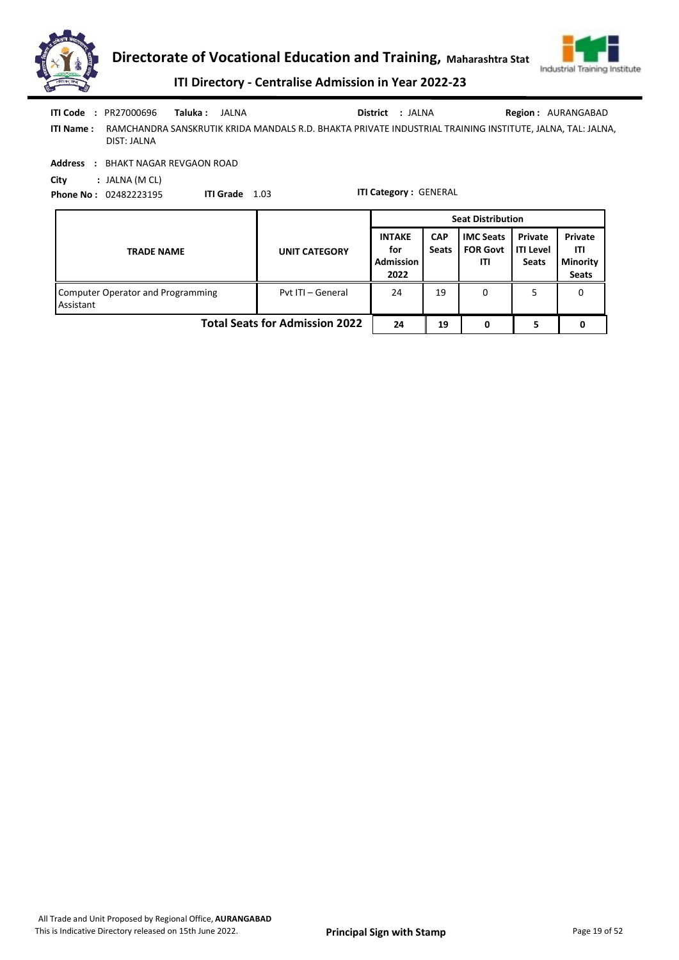



ITI Directory - Centralise Admission in Year 2022-23

|                  | <b>ITI Code : PR27000696</b> | Taluka : JALNA |  | District : JALNA | <b>Region: AURANGABAD</b>                                                                                 |
|------------------|------------------------------|----------------|--|------------------|-----------------------------------------------------------------------------------------------------------|
| <b>ITI Name:</b> | DIST: JALNA                  |                |  |                  | RAMCHANDRA SANSKRUTIK KRIDA MANDALS R.D. BHAKTA PRIVATE INDUSTRIAL TRAINING INSTITUTE, JALNA, TAL: JALNA, |

Address : BHAKT NAGAR REVGAON ROAD

City : JALNA (M CL) Phone No : 02482223195

ITI Grade 1.03

|                                                |                      | <b>Seat Distribution</b>                                                       |    |                                            |                                      |                                                   |  |
|------------------------------------------------|----------------------|--------------------------------------------------------------------------------|----|--------------------------------------------|--------------------------------------|---------------------------------------------------|--|
| <b>TRADE NAME</b>                              | <b>UNIT CATEGORY</b> | <b>INTAKE</b><br><b>CAP</b><br><b>Seats</b><br>for<br><b>Admission</b><br>2022 |    | <b>IMC Seats</b><br><b>FOR Govt</b><br>ITI | Private<br>ITI Level<br><b>Seats</b> | Private<br>ITI<br><b>Minority</b><br><b>Seats</b> |  |
| Computer Operator and Programming<br>Assistant | Pvt ITI - General    | 24                                                                             | 19 | 0                                          |                                      |                                                   |  |
| <b>Total Seats for Admission 2022</b>          | 24                   | 19                                                                             |    |                                            |                                      |                                                   |  |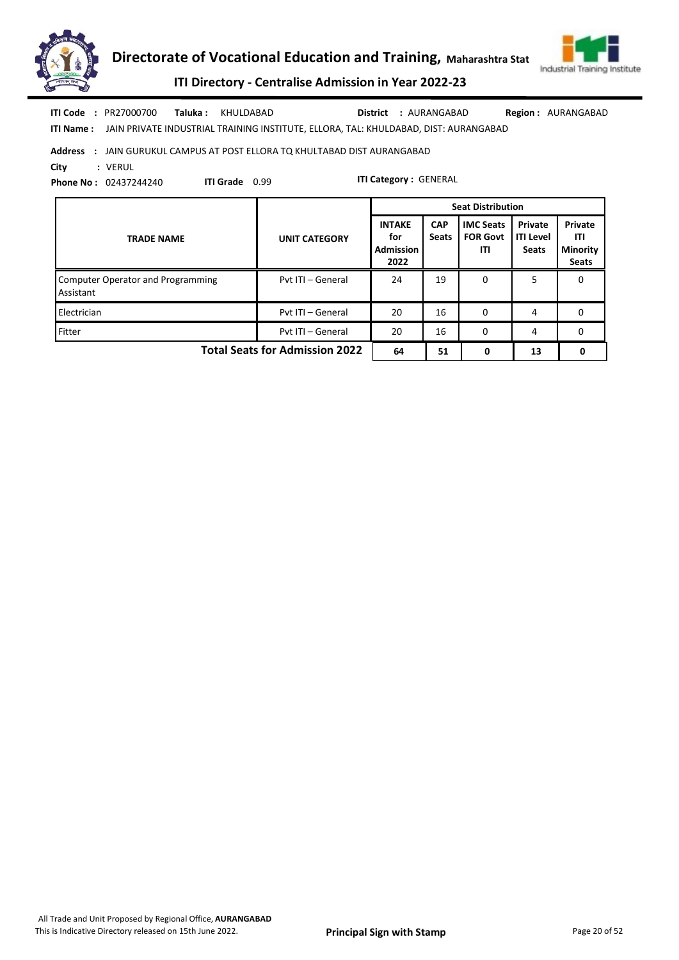



ITI Directory - Centralise Admission in Year 2022-23

Taluka : KHULDABAD **District** : AURANGABAD ITI Code : PR27000700 Region : AURANGABAD

ITI Name : JAIN PRIVATE INDUSTRIAL TRAINING INSTITUTE, ELLORA, TAL: KHULDABAD, DIST: AURANGABAD

#### Address : JAIN GURUKUL CAMPUS AT POST ELLORA TQ KHULTABAD DIST AURANGABAD

ITI Grade 0.99

City : VERUL

Phone No : 02437244240

|                                                       |                      |                                                  | <b>Seat Distribution</b>   |                                            |                                             |                                                   |  |
|-------------------------------------------------------|----------------------|--------------------------------------------------|----------------------------|--------------------------------------------|---------------------------------------------|---------------------------------------------------|--|
| <b>TRADE NAME</b>                                     | <b>UNIT CATEGORY</b> | <b>INTAKE</b><br>for<br><b>Admission</b><br>2022 | <b>CAP</b><br><b>Seats</b> | <b>IMC Seats</b><br><b>FOR Govt</b><br>ITI | Private<br><b>ITI Level</b><br><b>Seats</b> | Private<br>ITI<br><b>Minority</b><br><b>Seats</b> |  |
| <b>Computer Operator and Programming</b><br>Assistant | Pvt ITI - General    | 24                                               | 19                         | 0                                          | 5.                                          | 0                                                 |  |
| Electrician                                           | Pyt ITI - General    | 20                                               | 16                         | 0                                          | 4                                           | 0                                                 |  |
| Fitter                                                | Pvt ITI - General    | 20                                               | 16                         | $\Omega$                                   | 4                                           | 0                                                 |  |
| <b>Total Seats for Admission 2022</b>                 | 64                   | 51                                               | 0                          | 13                                         | 0                                           |                                                   |  |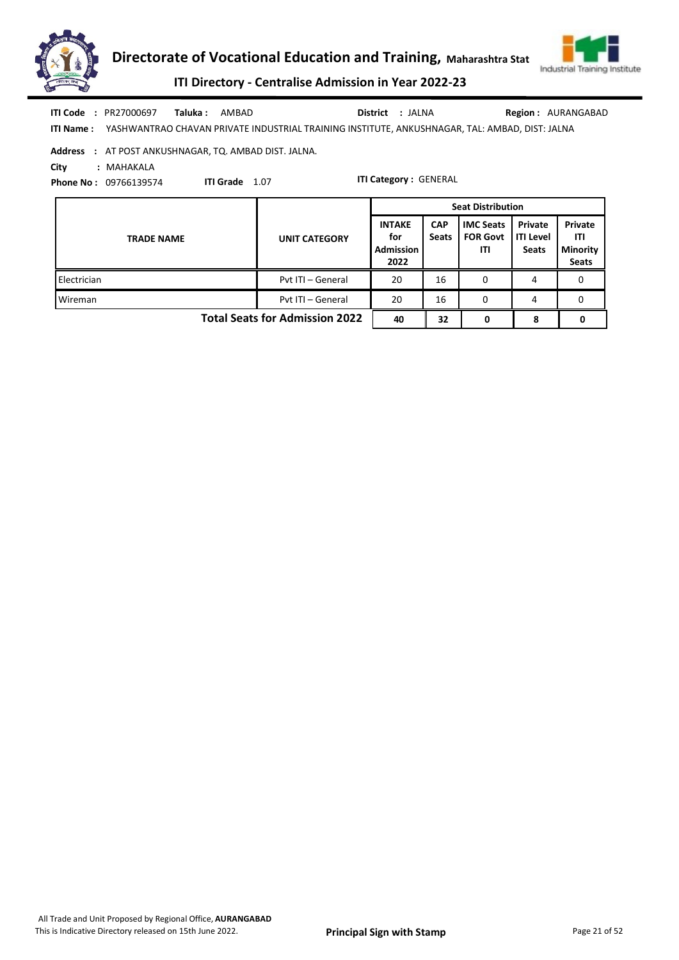



ITI Directory - Centralise Admission in Year 2022-23

| ITI Code         | : PR27000697 | Taluka : | AMBAD                                                                                          | District : JALNA | <b>Region: AURANGABAD</b> |
|------------------|--------------|----------|------------------------------------------------------------------------------------------------|------------------|---------------------------|
| <b>ITI Name:</b> |              |          | YASHWANTRAO CHAVAN PRIVATE INDUSTRIAL TRAINING INSTITUTE. ANKUSHNAGAR. TAL: AMBAD. DIST: JALNA |                  |                           |

Address : AT POST ANKUSHNAGAR, TQ. AMBAD DIST. JALNA.

City : MAHAKALA

Phone No : 09766139574

ITI Grade 1.07

|                                       |                      | <b>Seat Distribution</b>                         |                            |                                            |                                             |                                                   |  |
|---------------------------------------|----------------------|--------------------------------------------------|----------------------------|--------------------------------------------|---------------------------------------------|---------------------------------------------------|--|
| <b>TRADE NAME</b>                     | <b>UNIT CATEGORY</b> | <b>INTAKE</b><br>for<br><b>Admission</b><br>2022 | <b>CAP</b><br><b>Seats</b> | <b>IMC Seats</b><br><b>FOR Govt</b><br>ITI | Private<br><b>ITI Level</b><br><b>Seats</b> | Private<br>ITI<br><b>Minority</b><br><b>Seats</b> |  |
| Electrician                           | Pvt ITI - General    | 20                                               | 16                         | 0                                          | 4                                           |                                                   |  |
| Wireman                               | Pvt ITI - General    | 20                                               | 16                         | 0                                          | 4                                           | 0                                                 |  |
| <b>Total Seats for Admission 2022</b> | 40                   | 32                                               | n                          | 8                                          | 0                                           |                                                   |  |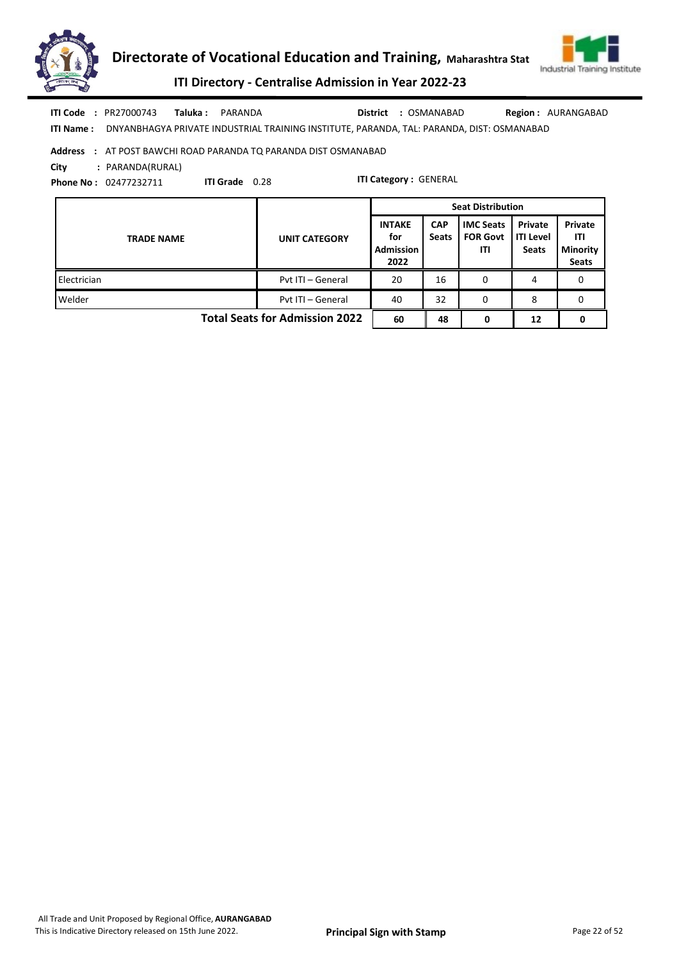



ITI Directory - Centralise Admission in Year 2022-23

Taluka : PARANDA District : OSMANABAD ITI Code : PR27000743 Taluka : PARANDA District : OSMANABAD Region : AURANGABAD

ITI Name : DNYANBHAGYA PRIVATE INDUSTRIAL TRAINING INSTITUTE, PARANDA, TAL: PARANDA, DIST: OSMANABAD

## Address : AT POST BAWCHI ROAD PARANDA TQ PARANDA DIST OSMANABAD

City : PARANDA(RURAL)

Phone No : 02477232711

ITI Grade 0.28

|                                       |                      | <b>Seat Distribution</b>                         |                            |                                            |                                             |                                                   |  |
|---------------------------------------|----------------------|--------------------------------------------------|----------------------------|--------------------------------------------|---------------------------------------------|---------------------------------------------------|--|
| <b>TRADE NAME</b>                     | <b>UNIT CATEGORY</b> | <b>INTAKE</b><br>for<br><b>Admission</b><br>2022 | <b>CAP</b><br><b>Seats</b> | <b>IMC Seats</b><br><b>FOR Govt</b><br>ITI | Private<br><b>ITI Level</b><br><b>Seats</b> | Private<br>ITI<br><b>Minority</b><br><b>Seats</b> |  |
| Electrician                           | Pvt ITI - General    | 20                                               | 16                         | 0                                          | 4                                           |                                                   |  |
| Welder                                | Pvt ITI - General    | 40                                               | 32                         | 0                                          | 8                                           | 0                                                 |  |
| <b>Total Seats for Admission 2022</b> |                      |                                                  | 48                         | 0                                          | 12                                          | 0                                                 |  |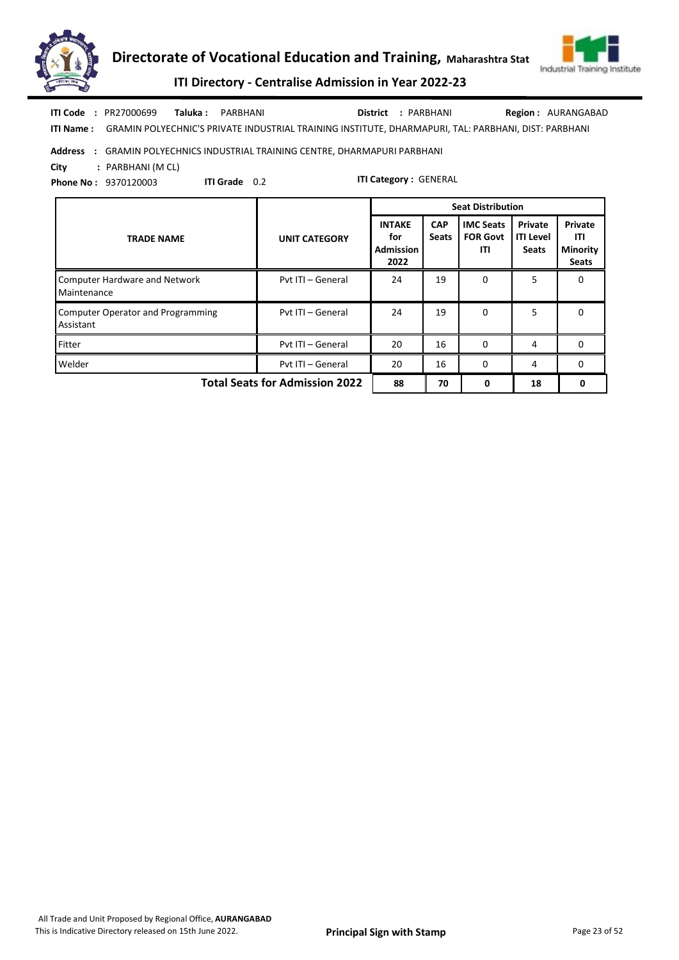



ITI Directory - Centralise Admission in Year 2022-23

Taluka : PARBHANI District : PARBHANI ITI Code : PR27000699 Taluka : PARBHANI District : PARBHANI Region : AURANGABAD

ITI Name : GRAMIN POLYECHNIC'S PRIVATE INDUSTRIAL TRAINING INSTITUTE, DHARMAPURI, TAL: PARBHANI, DIST: PARBHANI

## Address : GRAMIN POLYECHNICS INDUSTRIAL TRAINING CENTRE, DHARMAPURI PARBHANI

City : PARBHANI (M CL)

Phone No : 9370120003

ITI Grade 0.2

|                                                       |                      | <b>Seat Distribution</b>                         |                            |                                            |                                             |                                                   |  |
|-------------------------------------------------------|----------------------|--------------------------------------------------|----------------------------|--------------------------------------------|---------------------------------------------|---------------------------------------------------|--|
| <b>TRADE NAME</b>                                     | <b>UNIT CATEGORY</b> | <b>INTAKE</b><br>for<br><b>Admission</b><br>2022 | <b>CAP</b><br><b>Seats</b> | <b>IMC Seats</b><br><b>FOR Govt</b><br>ITI | Private<br><b>ITI Level</b><br><b>Seats</b> | Private<br>ITI<br><b>Minority</b><br><b>Seats</b> |  |
| <b>Computer Hardware and Network</b><br>Maintenance   | Pvt ITI - General    | 24                                               | 19                         | 0                                          | 5                                           | 0                                                 |  |
| <b>Computer Operator and Programming</b><br>Assistant | Pvt ITI - General    | 24                                               | 19                         | $\Omega$                                   | 5                                           | 0                                                 |  |
| Fitter                                                | Pyt ITI - General    | 20                                               | 16                         | 0                                          | 4                                           | 0                                                 |  |
| Welder                                                | Pvt ITI - General    | 20                                               | 16                         | O                                          | 4                                           | 0                                                 |  |
| <b>Total Seats for Admission 2022</b>                 | 88                   | 70                                               | 0                          | 18                                         | 0                                           |                                                   |  |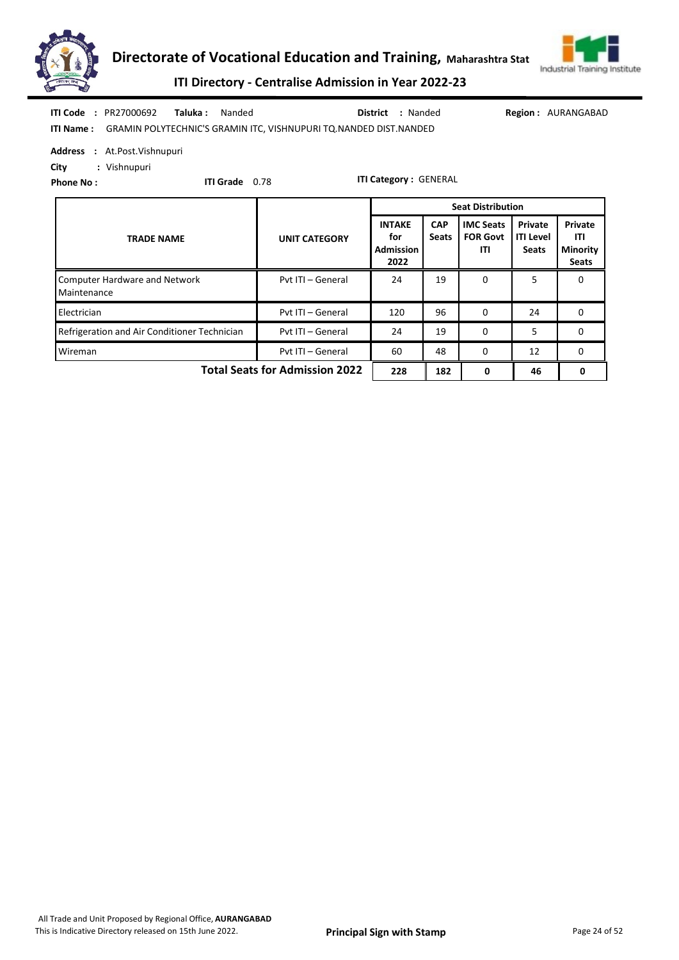



ITI Directory - Centralise Admission in Year 2022-23

| <b>ITI Code : PR27000692</b><br>Taluka :<br>Nanded<br>: Nanded<br><b>District</b><br>ITI Name: GRAMIN POLYTECHNIC'S GRAMIN ITC, VISHNUPURI TQ. NANDED DIST. NANDED |                      |                                                  |                            |                                            |                                      | <b>Region: AURANGABAD</b>                  |
|--------------------------------------------------------------------------------------------------------------------------------------------------------------------|----------------------|--------------------------------------------------|----------------------------|--------------------------------------------|--------------------------------------|--------------------------------------------|
| Address : At.Post.Vishnupuri<br>City<br>: Vishnupuri<br><b>ITI Grade</b> 0.78<br><b>Phone No:</b>                                                                  |                      | <b>ITI Category: GENERAL</b>                     |                            |                                            |                                      |                                            |
| <b>Seat Distribution</b>                                                                                                                                           |                      |                                                  |                            |                                            |                                      |                                            |
| <b>TRADE NAME</b>                                                                                                                                                  | <b>UNIT CATEGORY</b> | <b>INTAKE</b><br>for<br><b>Admission</b><br>2022 | <b>CAP</b><br><b>Seats</b> | <b>IMC Seats</b><br><b>FOR Govt</b><br>ITI | Private<br><b>ITI Level</b><br>Seats | Private<br>ITI<br><b>Minority</b><br>Seats |
| <b>Computer Hardware and Network</b><br>Maintenance                                                                                                                | Pvt ITI - General    | 24                                               | 19                         | $\Omega$                                   | 5                                    | $\Omega$                                   |
| Electrician                                                                                                                                                        | Pvt ITI - General    | 120                                              | 96                         | $\mathbf{0}$                               | 24                                   | 0                                          |
| Refrigeration and Air Conditioner Technician                                                                                                                       | Pvt ITI - General    | 24                                               | 19                         | $\Omega$                                   | 5                                    | 0                                          |

Total Seats for Admission 2022 | 228 | 182 | 0 | 46 | 0

Wireman **Wireman** Pvt ITI – General 60 48 0 12 0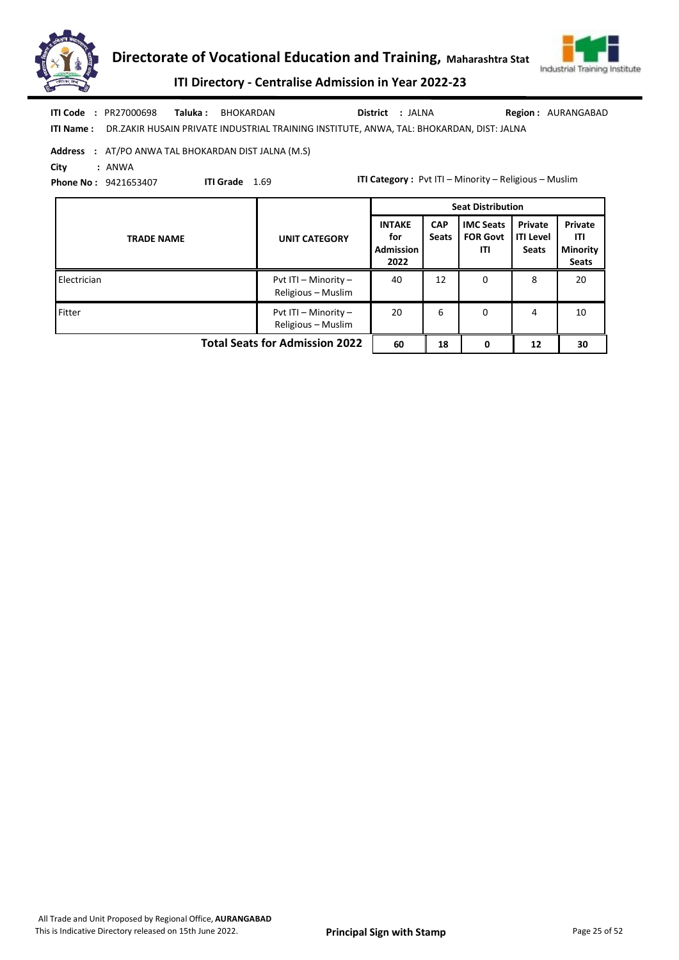



ITI Directory - Centralise Admission in Year 2022-23

|  | <b>ITI Code : PR27000698</b> | <b>Taluka: BHOKARDAN</b>                                                                                  | District : JALNA | <b>Region: AURANGABAD</b> |
|--|------------------------------|-----------------------------------------------------------------------------------------------------------|------------------|---------------------------|
|  |                              | <b>ITI Name:</b> DR.ZAKIR HUSAIN PRIVATE INDUSTRIAL TRAINING INSTITUTE, ANWA, TAL: BHOKARDAN, DIST: JALNA |                  |                           |

|      | Address : AT/PO ANWA TAL BHOKARDAN DIST JALNA (M.S) |
|------|-----------------------------------------------------|
| City | : ANWA                                              |

Phone No : 9421653407

ITI Grade 1.69

ITI Category : Pvt ITI – Minority – Religious – Muslim

|                                       |                                            | <b>Seat Distribution</b>                         |                            |                                            |                                             |                                                   |  |  |
|---------------------------------------|--------------------------------------------|--------------------------------------------------|----------------------------|--------------------------------------------|---------------------------------------------|---------------------------------------------------|--|--|
| <b>TRADE NAME</b>                     | <b>UNIT CATEGORY</b>                       | <b>INTAKE</b><br>for<br><b>Admission</b><br>2022 | <b>CAP</b><br><b>Seats</b> | <b>IMC Seats</b><br><b>FOR Govt</b><br>ITI | Private<br><b>ITI Level</b><br><b>Seats</b> | Private<br>ITI<br><b>Minority</b><br><b>Seats</b> |  |  |
| Electrician                           | Pvt ITI - Minority -<br>Religious - Muslim | 40                                               | 12                         | 0                                          | 8                                           | 20                                                |  |  |
| Fitter                                | Pvt ITI - Minority -<br>Religious - Muslim | 20                                               | 6                          | 0                                          | 4                                           | 10                                                |  |  |
| <b>Total Seats for Admission 2022</b> |                                            |                                                  | 18                         | 0                                          | 12                                          | 30                                                |  |  |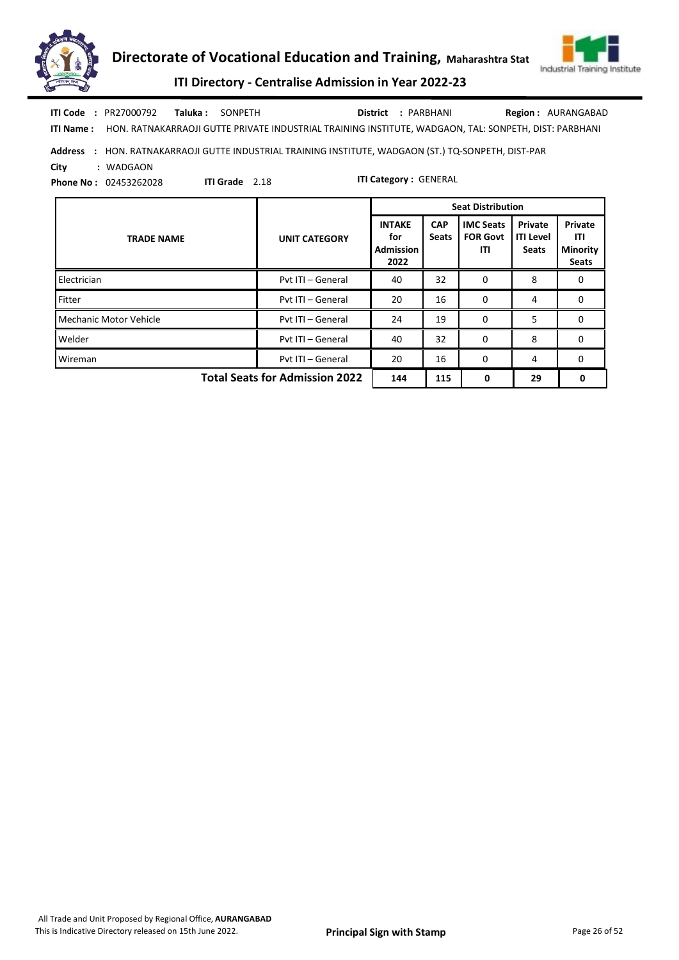



ITI Directory - Centralise Admission in Year 2022-23

Taluka : SONPETH District : PARBHANI ITI Code : PR27000792 Taluka : SONPETH **District** : PARBHANI Region : AURANGABAD

ITI Name : HON. RATNAKARRAOJI GUTTE PRIVATE INDUSTRIAL TRAINING INSTITUTE, WADGAON, TAL: SONPETH, DIST: PARBHANI

## Address : HON. RATNAKARRAOJI GUTTE INDUSTRIAL TRAINING INSTITUTE, WADGAON (ST.) TQ-SONPETH, DIST-PAR City : WADGAON

Phone No : 02453262028

ITI Grade 2.18

|                                       |                      |                                                  |                            | <b>Seat Distribution</b>                   |                                             |                                                   |
|---------------------------------------|----------------------|--------------------------------------------------|----------------------------|--------------------------------------------|---------------------------------------------|---------------------------------------------------|
| <b>TRADE NAME</b>                     | <b>UNIT CATEGORY</b> | <b>INTAKE</b><br>for<br><b>Admission</b><br>2022 | <b>CAP</b><br><b>Seats</b> | <b>IMC Seats</b><br><b>FOR Govt</b><br>ITI | Private<br><b>ITI Level</b><br><b>Seats</b> | Private<br>ITI<br><b>Minority</b><br><b>Seats</b> |
| Electrician                           | Pvt ITI - General    | 40                                               | 32                         | 0                                          | 8                                           | 0                                                 |
| Fitter                                | Pyt ITI - General    | 20                                               | 16                         | $\Omega$                                   | 4                                           | 0                                                 |
| Mechanic Motor Vehicle                | Pyt ITI - General    | 24                                               | 19                         | $\Omega$                                   | 5                                           | 0                                                 |
| Welder                                | Pyt ITI - General    | 40                                               | 32                         | $\Omega$                                   | 8                                           | 0                                                 |
| Wireman                               | Pyt ITI - General    | 20                                               | 16                         | $\Omega$                                   | 4                                           | 0                                                 |
| <b>Total Seats for Admission 2022</b> |                      |                                                  | 115                        | 0                                          | 29                                          | 0                                                 |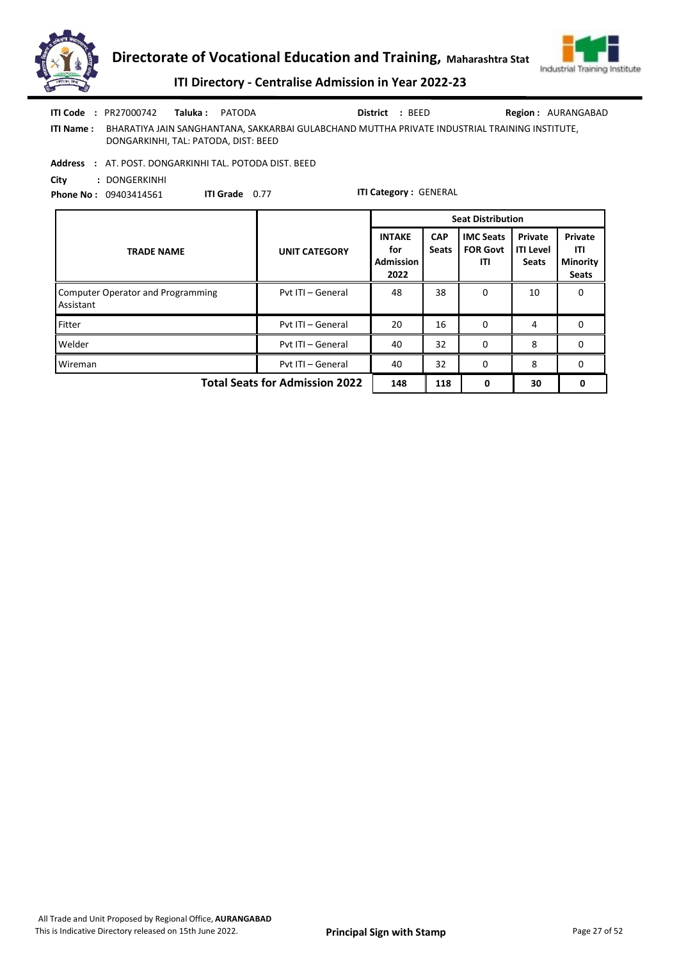



# ITI Directory - Centralise Admission in Year 2022-23

|            | <b>ITI Code</b> : $PR27000742$       | Taluka : | PATODA                                                                                         | District : BEED | <b>Region: AURANGABAD</b> |
|------------|--------------------------------------|----------|------------------------------------------------------------------------------------------------|-----------------|---------------------------|
| ITI Name : | DONGARKINHI, TAL: PATODA, DIST: BEED |          | BHARATIYA JAIN SANGHANTANA, SAKKARBAI GULABCHAND MUTTHA PRIVATE INDUSTRIAL TRAINING INSTITUTE, |                 |                           |

Address : AT. POST. DONGARKINHI TAL. POTODA DIST. BEED

City : DONGERKINHI Phone No : 09403414561

ITI Grade 0.77

|                                                       |                      |                                                  |                            | <b>Seat Distribution</b>                   |                                             |                                                   |
|-------------------------------------------------------|----------------------|--------------------------------------------------|----------------------------|--------------------------------------------|---------------------------------------------|---------------------------------------------------|
| <b>TRADE NAME</b>                                     | <b>UNIT CATEGORY</b> | <b>INTAKE</b><br>for<br><b>Admission</b><br>2022 | <b>CAP</b><br><b>Seats</b> | <b>IMC Seats</b><br><b>FOR Govt</b><br>ITI | Private<br><b>ITI Level</b><br><b>Seats</b> | Private<br>ITI<br><b>Minority</b><br><b>Seats</b> |
| <b>Computer Operator and Programming</b><br>Assistant | Pvt ITI - General    | 48                                               | 38                         | 0                                          | 10                                          | 0                                                 |
| Fitter                                                | Pvt ITI - General    | 20                                               | 16                         | $\Omega$                                   | 4                                           | 0                                                 |
| Welder                                                | Pyt ITI - General    | 40                                               | 32                         | $\Omega$                                   | 8                                           | 0                                                 |
| Wireman                                               | Pvt ITI - General    | 40                                               | 32                         | $\Omega$                                   | 8                                           | $\Omega$                                          |
| <b>Total Seats for Admission 2022</b>                 | 148                  | 118                                              | 0                          | 30                                         |                                             |                                                   |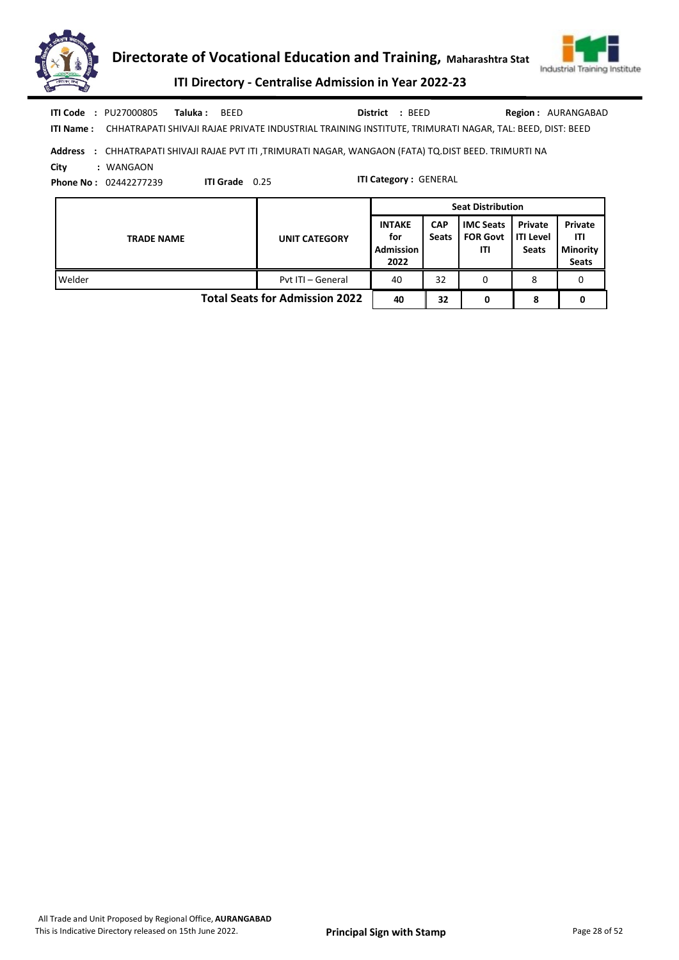



ITI Directory - Centralise Admission in Year 2022-23

|      |                                    |          |                  |                 |                              | <b>Seat Distribution</b>                                                                                          |
|------|------------------------------------|----------|------------------|-----------------|------------------------------|-------------------------------------------------------------------------------------------------------------------|
| City | : WANGAON<br>Phone No: 02442277239 |          | ITI Grade $0.25$ |                 | <b>ITI Category: GENERAL</b> |                                                                                                                   |
|      |                                    |          |                  |                 |                              | Address : CHHATRAPATI SHIVAJI RAJAE PVT ITI ,TRIMURATI NAGAR, WANGAON (FATA) TO DIST BEED. TRIMURTI NA            |
|      |                                    |          |                  |                 |                              | ITI Name: CHHATRAPATI SHIVAJI RAJAE PRIVATE INDUSTRIAL TRAINING INSTITUTE, TRIMURATI NAGAR, TAL: BEED, DIST: BEED |
|      | <b>ITI Code : PU27000805</b>       | Taluka : | <b>BEED</b>      | <b>District</b> | : BEED                       | <b>Region: AURANGABAD</b>                                                                                         |

|                                       | Seat Distribution    |                                                  |                            |                                            |                                               |                                                   |
|---------------------------------------|----------------------|--------------------------------------------------|----------------------------|--------------------------------------------|-----------------------------------------------|---------------------------------------------------|
| <b>TRADE NAME</b>                     | <b>UNIT CATEGORY</b> | <b>INTAKE</b><br>for<br><b>Admission</b><br>2022 | <b>CAP</b><br><b>Seats</b> | <b>IMC Seats</b><br><b>FOR Govt</b><br>ΙTΙ | Private<br><b>I</b> ITI Level<br><b>Seats</b> | Private<br>ITI<br><b>Minority</b><br><b>Seats</b> |
| Welder                                | Pyt ITI - General    | 40                                               | 32                         | 0                                          |                                               |                                                   |
| <b>Total Seats for Admission 2022</b> |                      |                                                  | 32                         |                                            | o                                             |                                                   |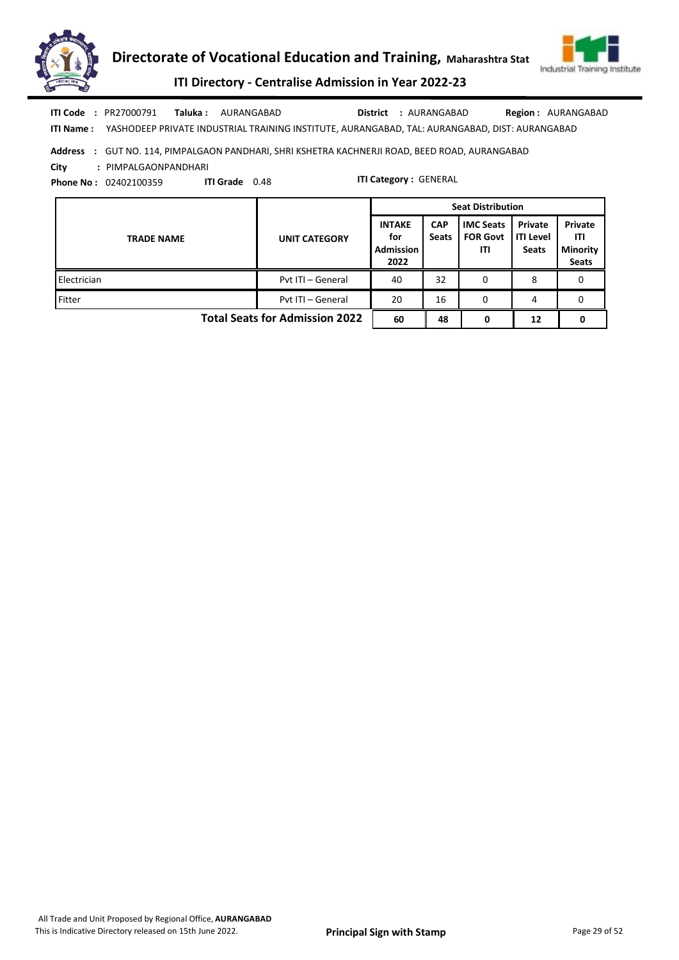



ITI Directory - Centralise Admission in Year 2022-23

Taluka : AURANGABAD **District** : AURANGABAD ITI Code : PR27000791 Taluka : AURANGABAD District : AURANGABAD Region : AURANGABAD

ITI Name : YASHODEEP PRIVATE INDUSTRIAL TRAINING INSTITUTE, AURANGABAD, TAL: AURANGABAD, DIST: AURANGABAD

## Address : GUT NO. 114, PIMPALGAON PANDHARI, SHRI KSHETRA KACHNERJI ROAD, BEED ROAD, AURANGABAD

City : PIMPALGAONPANDHARI

Phone No : 02402100359 ITI Grade 0.48

|                                       |                      | <b>Seat Distribution</b>                  |                            |                                            |                                             |                                                   |  |  |
|---------------------------------------|----------------------|-------------------------------------------|----------------------------|--------------------------------------------|---------------------------------------------|---------------------------------------------------|--|--|
| <b>TRADE NAME</b>                     | <b>UNIT CATEGORY</b> | <b>INTAKE</b><br>for<br>Admission<br>2022 | <b>CAP</b><br><b>Seats</b> | <b>IMC Seats</b><br><b>FOR Govt</b><br>ITI | Private<br><b>ITI Level</b><br><b>Seats</b> | Private<br>ITI<br><b>Minority</b><br><b>Seats</b> |  |  |
| Electrician                           | Pvt ITI - General    | 40                                        | 32                         | 0                                          | 8                                           |                                                   |  |  |
| Fitter                                | Pvt ITI - General    | 20                                        | 16                         | 0                                          | 4                                           | 0                                                 |  |  |
| <b>Total Seats for Admission 2022</b> | 60                   | 48                                        | 0                          | 12                                         | 0                                           |                                                   |  |  |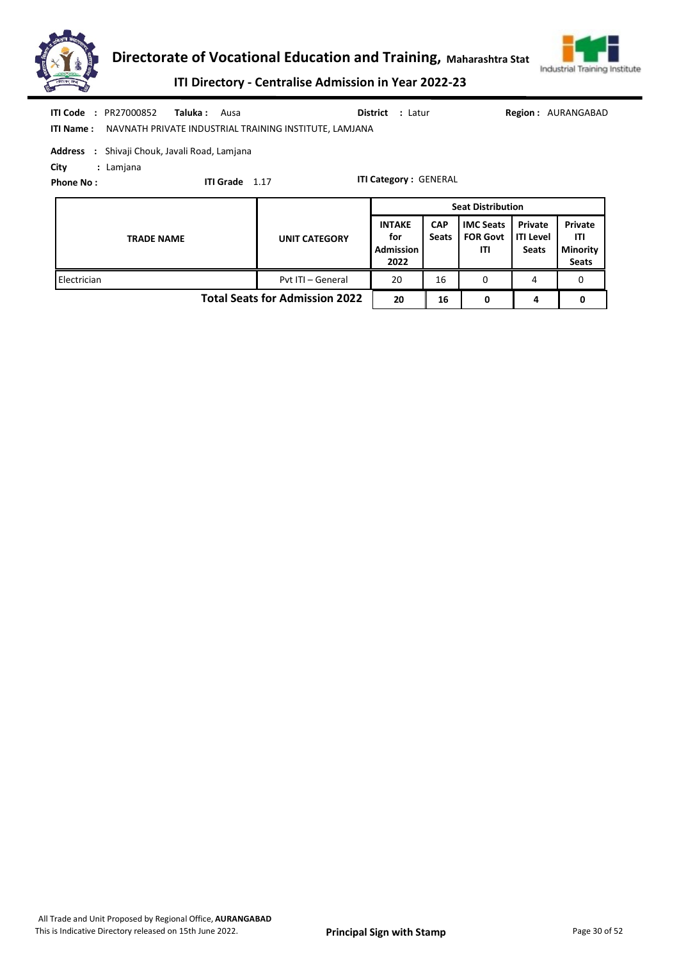



ITI Directory - Centralise Admission in Year 2022-23

| <b>ITI Code</b><br><b>ITI Name:</b>                                                                                                                          | : PR27000852<br>Taluka :<br>Ausa<br>NAVNATH PRIVATE INDUSTRIAL TRAINING INSTITUTE, LAMJANA |                      | <b>District</b> : Latur                          |                            |                                            |                                             | <b>Region: AURANGABAD</b>                                |  |
|--------------------------------------------------------------------------------------------------------------------------------------------------------------|--------------------------------------------------------------------------------------------|----------------------|--------------------------------------------------|----------------------------|--------------------------------------------|---------------------------------------------|----------------------------------------------------------|--|
| <b>Address</b><br>: Shivaji Chouk, Javali Road, Lamjana<br>City<br>: Lamjana<br><b>ITI Category: GENERAL</b><br><b>ITI Grade</b><br>1.17<br><b>Phone No:</b> |                                                                                            |                      |                                                  |                            |                                            |                                             |                                                          |  |
|                                                                                                                                                              | <b>Seat Distribution</b>                                                                   |                      |                                                  |                            |                                            |                                             |                                                          |  |
|                                                                                                                                                              |                                                                                            |                      |                                                  |                            |                                            |                                             |                                                          |  |
|                                                                                                                                                              | <b>TRADE NAME</b>                                                                          | <b>UNIT CATEGORY</b> | <b>INTAKE</b><br>for<br><b>Admission</b><br>2022 | <b>CAP</b><br><b>Seats</b> | <b>IMC Seats</b><br><b>FOR Govt</b><br>ITI | Private<br><b>ITI Level</b><br><b>Seats</b> | <b>Private</b><br>ITI<br><b>Minority</b><br><b>Seats</b> |  |

Total Seats for Admission 2022 20 16 0 4 0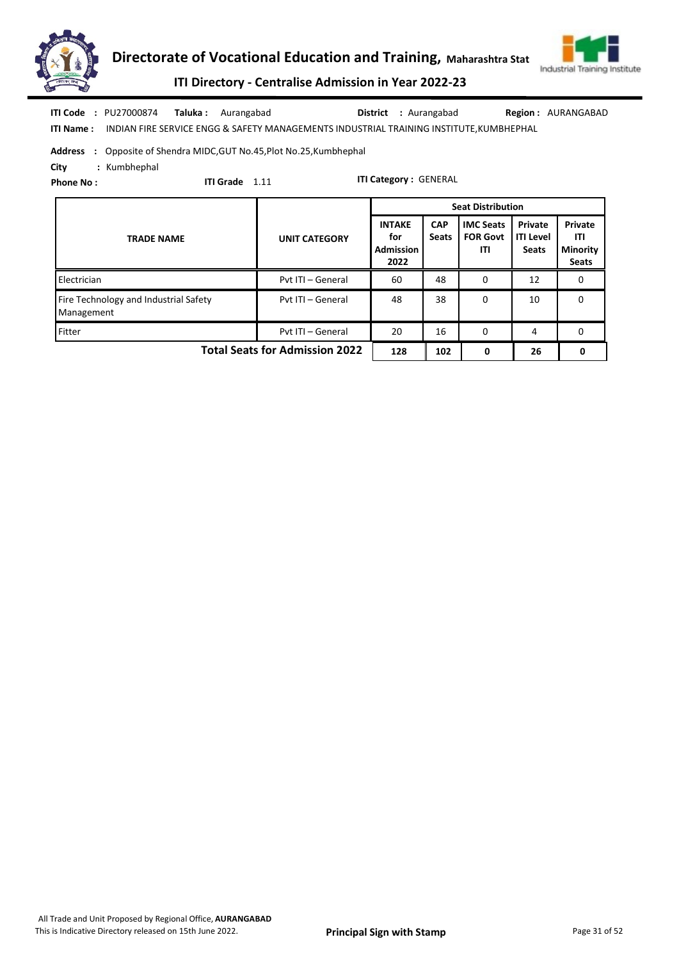



# ITI Directory - Centralise Admission in Year 2022-23

ITI Name : INDIAN FIRE SERVICE ENGG & SAFETY MANAGEMENTS INDUSTRIAL TRAINING INSTITUTE,KUMBHEPHAL ITI Code : PU27000874 Taluka : Aurangabad District : Aurangabad Region : AURANGABAD

Address : Opposite of Shendra MIDC, GUT No.45, Plot No.25, Kumbhephal

City : Kumbhephal

Phone No :

ITI Grade 1.11

|                                                     |                      |                                                  |                            | <b>Seat Distribution</b>                   |                                             |                                                   |
|-----------------------------------------------------|----------------------|--------------------------------------------------|----------------------------|--------------------------------------------|---------------------------------------------|---------------------------------------------------|
| <b>TRADE NAME</b>                                   | <b>UNIT CATEGORY</b> | <b>INTAKE</b><br>for<br><b>Admission</b><br>2022 | <b>CAP</b><br><b>Seats</b> | <b>IMC Seats</b><br><b>FOR Govt</b><br>ITI | Private<br><b>ITI Level</b><br><b>Seats</b> | Private<br>ITI<br><b>Minority</b><br><b>Seats</b> |
| Electrician                                         | Pvt ITI - General    | 60                                               | 48                         | 0                                          | 12                                          | 0                                                 |
| Fire Technology and Industrial Safety<br>Management | Pvt ITI - General    | 48                                               | 38                         | 0                                          | 10                                          | 0                                                 |
| Fitter                                              | Pvt ITI - General    | 20                                               | 16                         | 0                                          | 4                                           | 0                                                 |
| <b>Total Seats for Admission 2022</b>               | 128                  | 102                                              | 0                          | 26                                         | 0                                           |                                                   |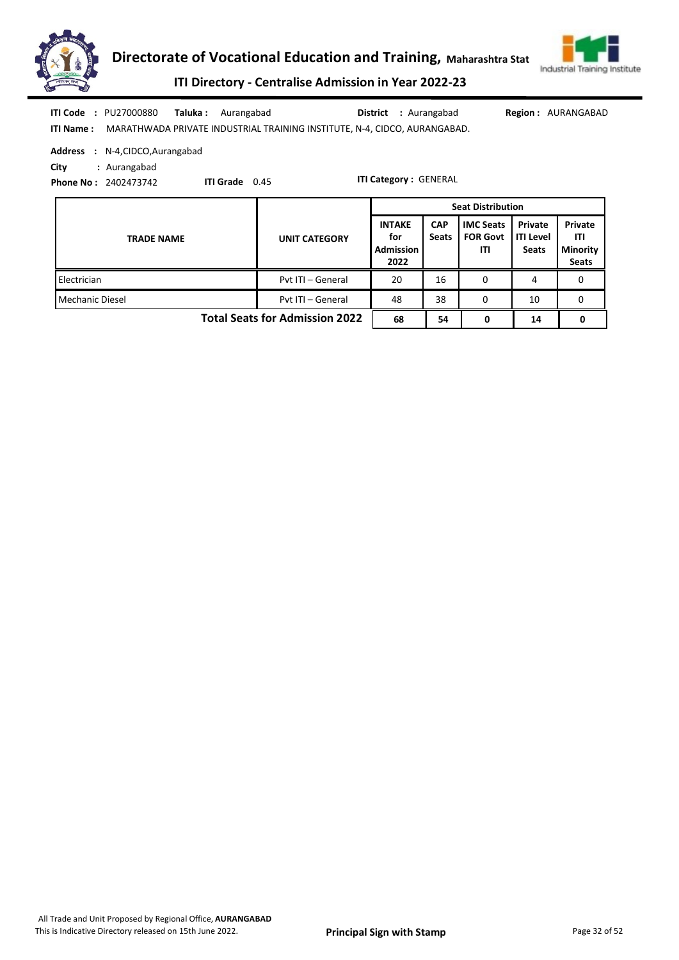



ITI Directory - Centralise Admission in Year 2022-23

|            | <b>ITI Code : PU27000880</b>                                              | <b>Taluka:</b> Aurangabad |      | <b>District</b> : Aurangabad | <b>Region: AURANGABAD</b> |
|------------|---------------------------------------------------------------------------|---------------------------|------|------------------------------|---------------------------|
| ITI Name : | MARATHWADA PRIVATE INDUSTRIAL TRAINING INSTITUTE, N-4, CIDCO, AURANGABAD. |                           |      |                              |                           |
|            | <b>Address : N-4, CIDCO, Aurangabad</b>                                   |                           |      |                              |                           |
| City       | : Aurangabad                                                              |                           |      |                              |                           |
|            | <b>Phone No: 2402473742</b>                                               | <b>ITI Grade</b>          | 0.45 | <b>ITI Category: GENERAL</b> |                           |

TRADE NAME UNIT CATEGORY INTAKE for Admission 2022 **CAP** Seats IMC Seats FOR Govt ITI Private ITI Level **Seats** Private ITI Minority Seats Seat Distribution Electrician **Pvt ITI – General 20 16 0 4 0** 0 4 0 Mechanic Diesel **Properties Community** Pvt ITI – General 48 38 0 10 0 Total Seats for Admission 2022 | 68 | 54 | 0 |  $14$  0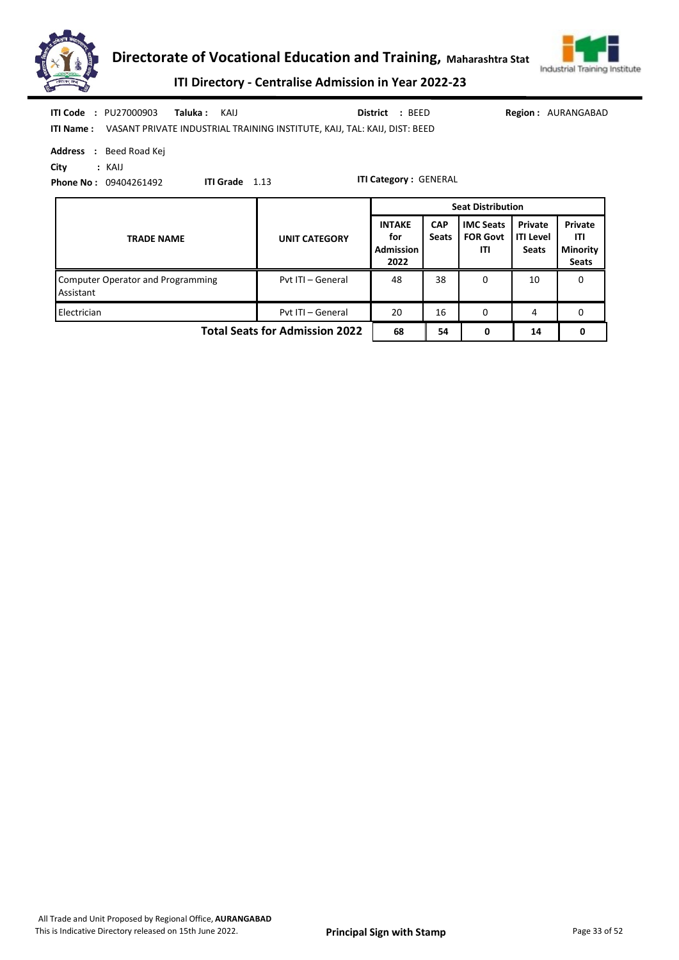



ITI Directory - Centralise Admission in Year 2022-23

| <b>ITI Code : PU27000903</b><br>Taluka :<br>KAIJ<br><b>Address : Beed Road Kej</b>               | District : BEED<br><b>Region: AURANGABAD</b><br>ITI Name: VASANT PRIVATE INDUSTRIAL TRAINING INSTITUTE, KAIJ, TAL: KAIJ, DIST: BEED |                                                  |                            |                                            |                                             |                                                   |  |  |  |
|--------------------------------------------------------------------------------------------------|-------------------------------------------------------------------------------------------------------------------------------------|--------------------------------------------------|----------------------------|--------------------------------------------|---------------------------------------------|---------------------------------------------------|--|--|--|
| City<br>: KAIJ<br><b>ITI Category: GENERAL</b><br>ITI Grade 1.13<br><b>Phone No: 09404261492</b> |                                                                                                                                     |                                                  |                            |                                            |                                             |                                                   |  |  |  |
|                                                                                                  |                                                                                                                                     | <b>Seat Distribution</b>                         |                            |                                            |                                             |                                                   |  |  |  |
| <b>TRADE NAME</b>                                                                                | <b>UNIT CATEGORY</b>                                                                                                                | <b>INTAKE</b><br>for<br><b>Admission</b><br>2022 | <b>CAP</b><br><b>Seats</b> | <b>IMC Seats</b><br><b>FOR Govt</b><br>ITI | Private<br><b>ITI Level</b><br><b>Seats</b> | Private<br>ITI<br><b>Minority</b><br><b>Seats</b> |  |  |  |
| <b>Computer Operator and Programming</b><br>Assistant                                            | Pvt ITI - General                                                                                                                   | 48                                               | 38                         | 0                                          | 10                                          | 0                                                 |  |  |  |
| Electrician                                                                                      | Pvt ITI - General                                                                                                                   | 20                                               | 16                         | 0                                          | 4                                           | 0                                                 |  |  |  |
| <b>Total Seats for Admission 2022</b>                                                            | 68                                                                                                                                  | 54                                               | 0                          | 14                                         | 0                                           |                                                   |  |  |  |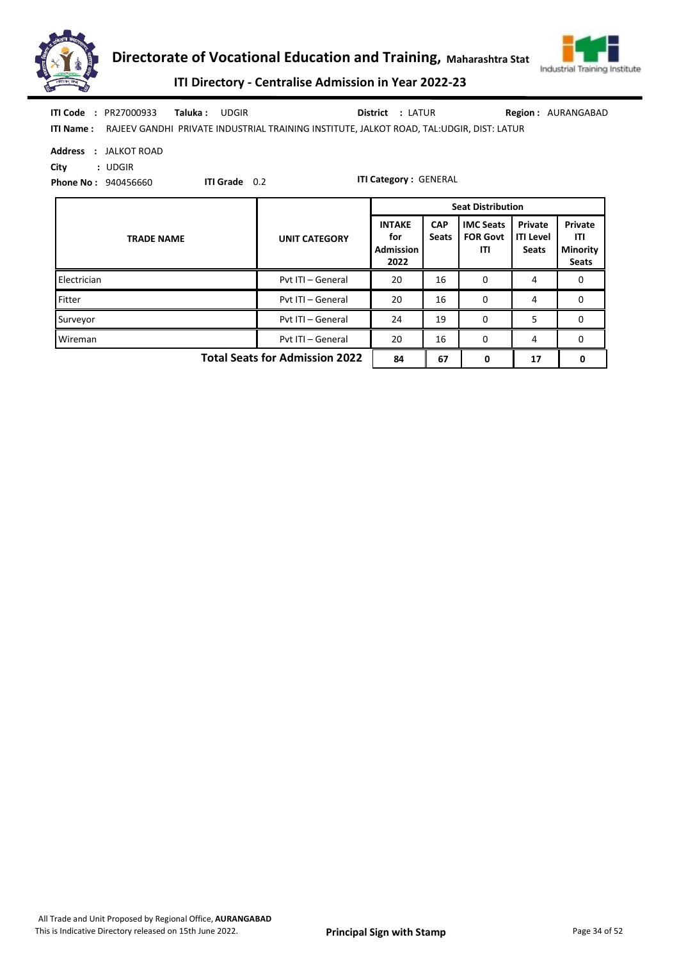



ITI Directory - Centralise Admission in Year 2022-23

| <b>ITI Code : PR27000933</b><br>Taluka :<br><b>UDGIR</b><br><b>ITI Name:</b>                                                             | Region: AURANGABAD<br><b>District : LATUR</b><br>RAJEEV GANDHI PRIVATE INDUSTRIAL TRAINING INSTITUTE, JALKOT ROAD, TAL:UDGIR, DIST: LATUR |                                                  |                            |                                            |                                             |                                                   |  |  |  |
|------------------------------------------------------------------------------------------------------------------------------------------|-------------------------------------------------------------------------------------------------------------------------------------------|--------------------------------------------------|----------------------------|--------------------------------------------|---------------------------------------------|---------------------------------------------------|--|--|--|
| <b>Address</b><br>: JALKOT ROAD<br>City<br>: <b>UDGIR</b><br><b>ITI Category: GENERAL</b><br>ITI Grade 0.2<br><b>Phone No: 940456660</b> |                                                                                                                                           |                                                  |                            |                                            |                                             |                                                   |  |  |  |
|                                                                                                                                          |                                                                                                                                           | <b>Seat Distribution</b>                         |                            |                                            |                                             |                                                   |  |  |  |
| <b>TRADE NAME</b>                                                                                                                        | <b>UNIT CATEGORY</b>                                                                                                                      | <b>INTAKE</b><br>for<br><b>Admission</b><br>2022 | <b>CAP</b><br><b>Seats</b> | <b>IMC Seats</b><br><b>FOR Govt</b><br>ITI | Private<br><b>ITI Level</b><br><b>Seats</b> | Private<br>ITI<br><b>Minority</b><br><b>Seats</b> |  |  |  |
| Electrician                                                                                                                              | Pvt ITI - General                                                                                                                         | 20                                               | 16                         | 0                                          | 4                                           | 0                                                 |  |  |  |
| Fitter                                                                                                                                   | Pyt ITI - General                                                                                                                         | 20                                               | 16                         | 0                                          | 4                                           | $\mathbf 0$                                       |  |  |  |
| Surveyor                                                                                                                                 | Pvt ITI - General                                                                                                                         | 24                                               | 19                         | 0                                          | 5                                           | 0                                                 |  |  |  |
| Wireman                                                                                                                                  | Pyt ITI - General                                                                                                                         | 20                                               | 16                         | 0                                          | 4                                           | $\mathbf 0$                                       |  |  |  |

Total Seats for Admission 2022  $\begin{array}{|c|c|c|c|c|c|c|c|c|} \hline 84 & 67 & 0 & 17 & 0 \ \hline \end{array}$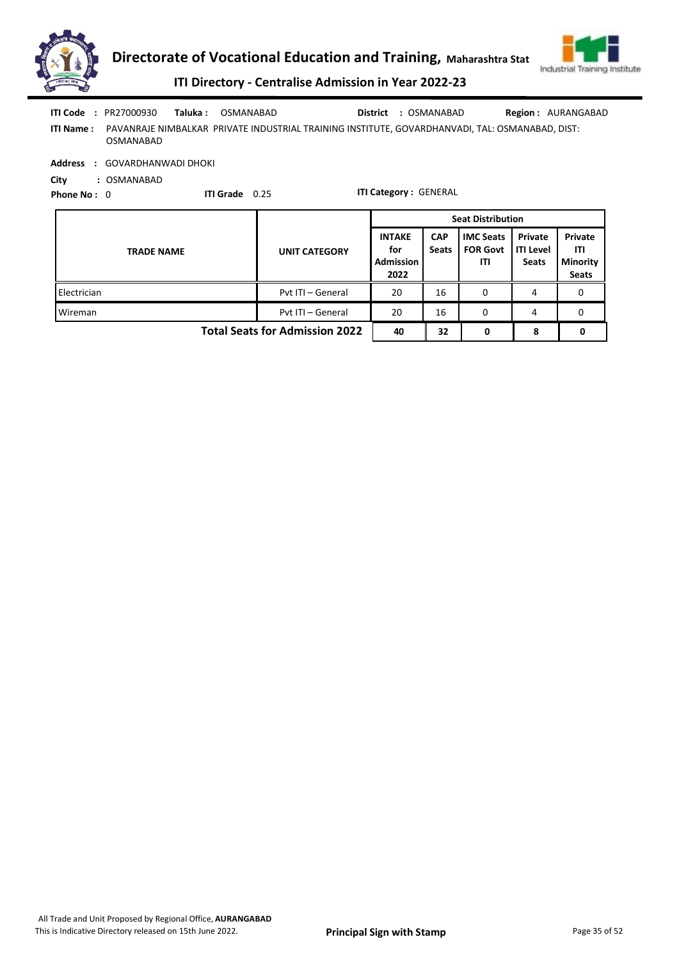



ITI Directory - Centralise Admission in Year 2022-23

ITI Name : PAVANRAJE NIMBALKAR PRIVATE INDUSTRIAL TRAINING INSTITUTE, GOVARDHANVADI, TAL: OSMANABAD, DIST: OSMANABAD Taluka : OSMANABAD **District** : OSMANABAD ITI Code : PR27000930 Taluka : OSMANABAD District : OSMANABAD Region : AURANGABAD

Address : GOVARDHANWADI DHOKI

City : OSMANABAD

Phone No: 0 ITI Grade 0.25

|                                       |                      | <b>Seat Distribution</b>                         |                            |                                            |                                                   |   |
|---------------------------------------|----------------------|--------------------------------------------------|----------------------------|--------------------------------------------|---------------------------------------------------|---|
| <b>TRADE NAME</b>                     | <b>UNIT CATEGORY</b> | <b>INTAKE</b><br>for<br><b>Admission</b><br>2022 | <b>CAP</b><br><b>Seats</b> | <b>IMC Seats</b><br><b>FOR Govt</b><br>ITI | Private<br>ITI<br><b>Minority</b><br><b>Seats</b> |   |
| Electrician                           | Pvt ITI - General    | 20                                               | 16                         | 0                                          | 4                                                 |   |
| Wireman                               | Pyt ITI - General    | 20                                               | 16                         | 0                                          | 4                                                 | o |
| <b>Total Seats for Admission 2022</b> | 40                   | 32                                               | 0                          | 8                                          |                                                   |   |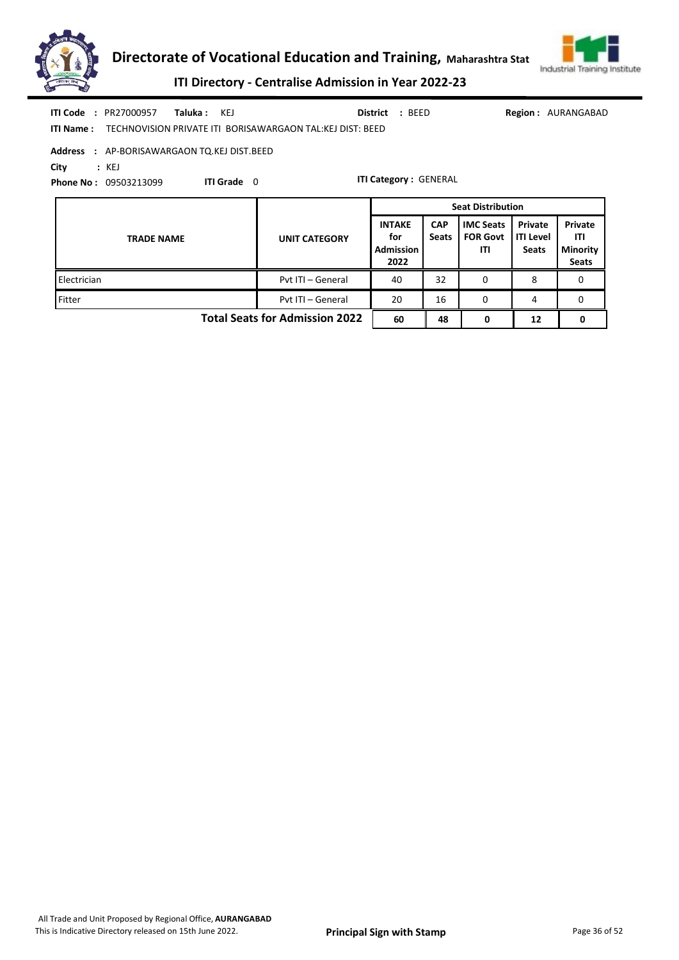



**Seats** 

ITI Directory - Centralise Admission in Year 2022-23

|                |                              | <b>TRADE NAME</b>                     |          |                  | <b>UNIT CATEGORY</b>                                      |                 | <b>INTAKE</b><br>for<br><b>Admission</b> | <b>CAP</b><br><b>Seats</b>   | <b>IMC Seats</b><br><b>FOR Govt</b><br>ΙTΙ | Private<br><b>ITI Level</b><br><b>Seats</b> | Private<br>ITI<br><b>Minority</b> |  |
|----------------|------------------------------|---------------------------------------|----------|------------------|-----------------------------------------------------------|-----------------|------------------------------------------|------------------------------|--------------------------------------------|---------------------------------------------|-----------------------------------|--|
|                |                              |                                       |          |                  |                                                           |                 |                                          |                              | <b>Seat Distribution</b>                   |                                             |                                   |  |
| City           |                              | : KEJ<br><b>Phone No: 09503213099</b> |          | <b>ITI Grade</b> | 0                                                         |                 |                                          | <b>ITI Category: GENERAL</b> |                                            |                                             |                                   |  |
| <b>Address</b> |                              | : AP-BORISAWARGAON TQ.KEJ DIST.BEED   |          |                  |                                                           |                 |                                          |                              |                                            |                                             |                                   |  |
|                | <b>ITI Name:</b>             |                                       |          |                  | TECHNOVISION PRIVATE ITI BORISAWARGAON TAL:KEJ DIST: BEED |                 |                                          |                              |                                            |                                             |                                   |  |
|                | <b>ITI Code</b><br>$\cdot$ . | PR27000957                            | Taluka : | KEJ              |                                                           | <b>District</b> | : BEED                                   |                              |                                            | <b>Region:</b>                              | AURANGABAD                        |  |

Electrician **Pvt ITI – General 140 32 0 8 0** 0 Fitter **Pvt ITI – General 20 16 0 4 0** 0 4 0

2022

Total Seats for Admission 2022 60 48 0 12 0

All Trade and Unit Proposed by Regional Office, AURANGABAD This is Indicative Directory released on 15th June 2022. **Principal Sign with Stamp** Page 36 of 52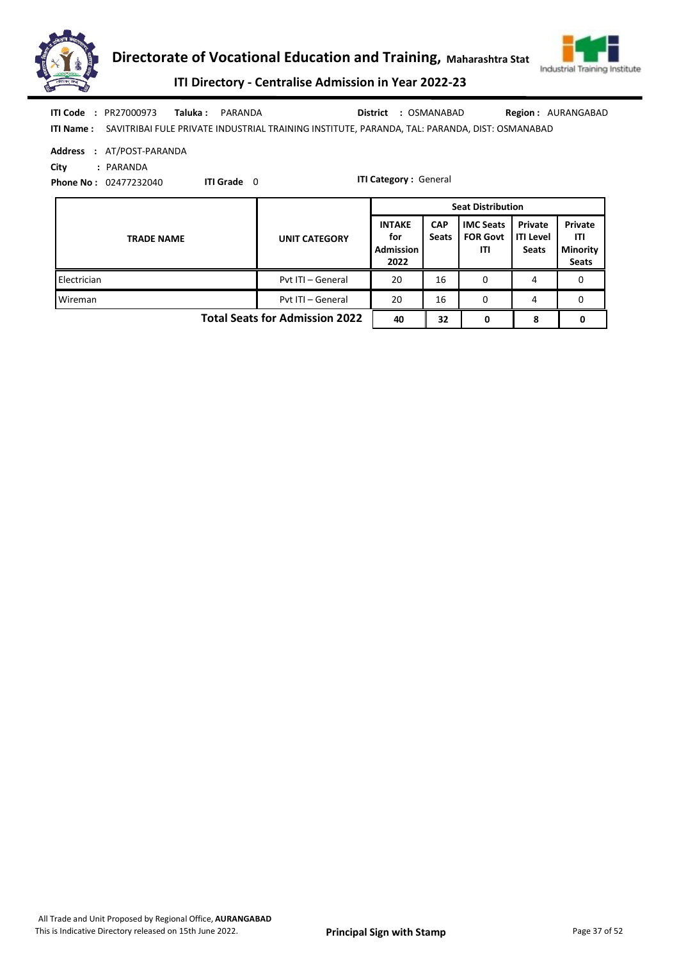



ITI Directory - Centralise Admission in Year 2022-23

| ITI Code         | : PR27000973 | Taluka: PARANDA                                                                               | <b>District : OSMANABAD</b> | <b>Region: AURANGABAD</b> |
|------------------|--------------|-----------------------------------------------------------------------------------------------|-----------------------------|---------------------------|
| <b>ITI Name:</b> |              | SAVITRIBAI FULE PRIVATE INDUSTRIAL TRAINING INSTITUTE, PARANDA, TAL: PARANDA, DIST: OSMANABAD |                             |                           |

|  | Address : AT/POST-PARANDA |
|--|---------------------------|
|--|---------------------------|

City : PARANDA

Phone No : 02477232040

ITI Grade 0

ITI Category : General

|                                       |                      | <b>Seat Distribution</b>                         |                            |                                            |                                             |                                                   |
|---------------------------------------|----------------------|--------------------------------------------------|----------------------------|--------------------------------------------|---------------------------------------------|---------------------------------------------------|
| <b>TRADE NAME</b>                     | <b>UNIT CATEGORY</b> | <b>INTAKE</b><br>for<br><b>Admission</b><br>2022 | <b>CAP</b><br><b>Seats</b> | <b>IMC Seats</b><br><b>FOR Govt</b><br>ITI | Private<br><b>ITI Level</b><br><b>Seats</b> | Private<br>ITI<br><b>Minority</b><br><b>Seats</b> |
| Electrician                           | Pvt ITI - General    | 20                                               | 16                         | 0                                          | 4                                           | 0                                                 |
| Wireman                               | Pyt ITI - General    | 20                                               | 16                         | 0                                          | 4                                           | 0                                                 |
| <b>Total Seats for Admission 2022</b> | 40                   | 32                                               | 0                          | 8                                          |                                             |                                                   |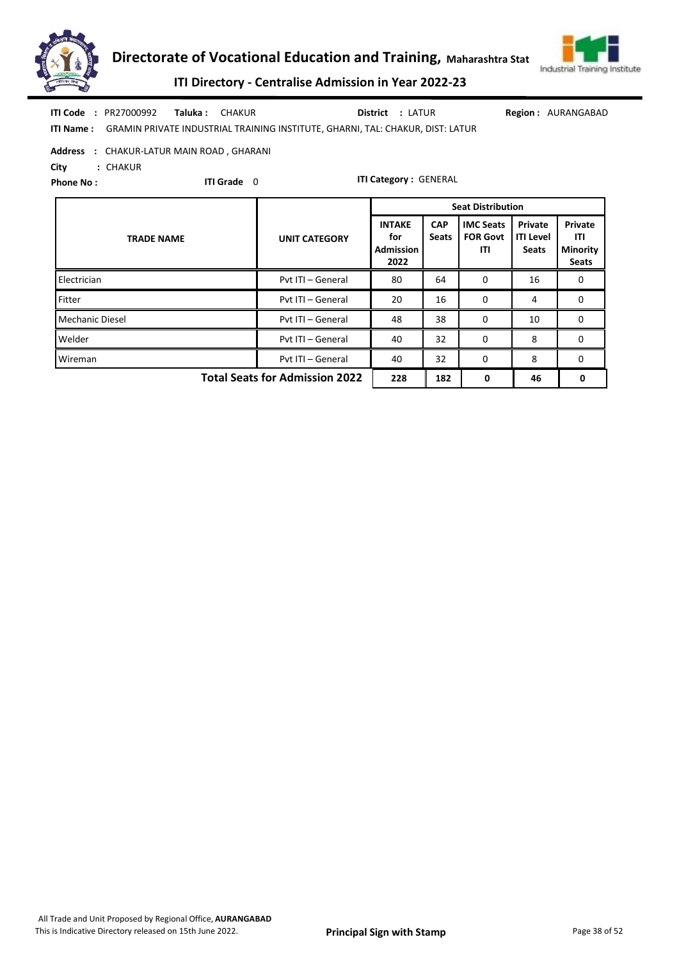



ITI Directory - Centralise Admission in Year 2022-23

|                  | <b>ITI Code : PR27000992</b> | <b>Taluka:</b> CHAKUR |                                                                                      | <b>District : LATUR</b> | <b>Region: AURANGABAD</b> |
|------------------|------------------------------|-----------------------|--------------------------------------------------------------------------------------|-------------------------|---------------------------|
| <b>ITI Name:</b> |                              |                       | :     GRAMIN PRIVATE INDUSTRIAL TRAINING INSTITUTE, GHARNI, TAL: CHAKUR, DIST: LATUR |                         |                           |

Address : CHAKUR-LATUR MAIN ROAD , GHARANI

City : CHAKUR

Phone No :

ITI Grade 0

|                                       |                      | <b>Seat Distribution</b>                         |                            |                                            |                                             |                                                   |  |  |
|---------------------------------------|----------------------|--------------------------------------------------|----------------------------|--------------------------------------------|---------------------------------------------|---------------------------------------------------|--|--|
| <b>TRADE NAME</b>                     | <b>UNIT CATEGORY</b> | <b>INTAKE</b><br>for<br><b>Admission</b><br>2022 | <b>CAP</b><br><b>Seats</b> | <b>IMC Seats</b><br><b>FOR Govt</b><br>ITI | Private<br><b>ITI Level</b><br><b>Seats</b> | Private<br>ITI<br><b>Minority</b><br><b>Seats</b> |  |  |
| Electrician                           | Pyt ITI - General    | 80                                               | 64                         | 0                                          | 16                                          | 0                                                 |  |  |
| Fitter                                | Pyt ITI - General    | 20                                               | 16                         | 0                                          | 4                                           | 0                                                 |  |  |
| Mechanic Diesel                       | Pvt ITI - General    | 48                                               | 38                         | 0                                          | 10                                          | $\Omega$                                          |  |  |
| Welder                                | Pyt ITI - General    | 40                                               | 32                         | $\Omega$                                   | 8                                           | 0                                                 |  |  |
| Wireman                               | Pvt ITI - General    | 40                                               | 32                         | $\Omega$                                   | 8                                           | 0                                                 |  |  |
| <b>Total Seats for Admission 2022</b> | 228                  | 182                                              | 0                          | 46                                         | 0                                           |                                                   |  |  |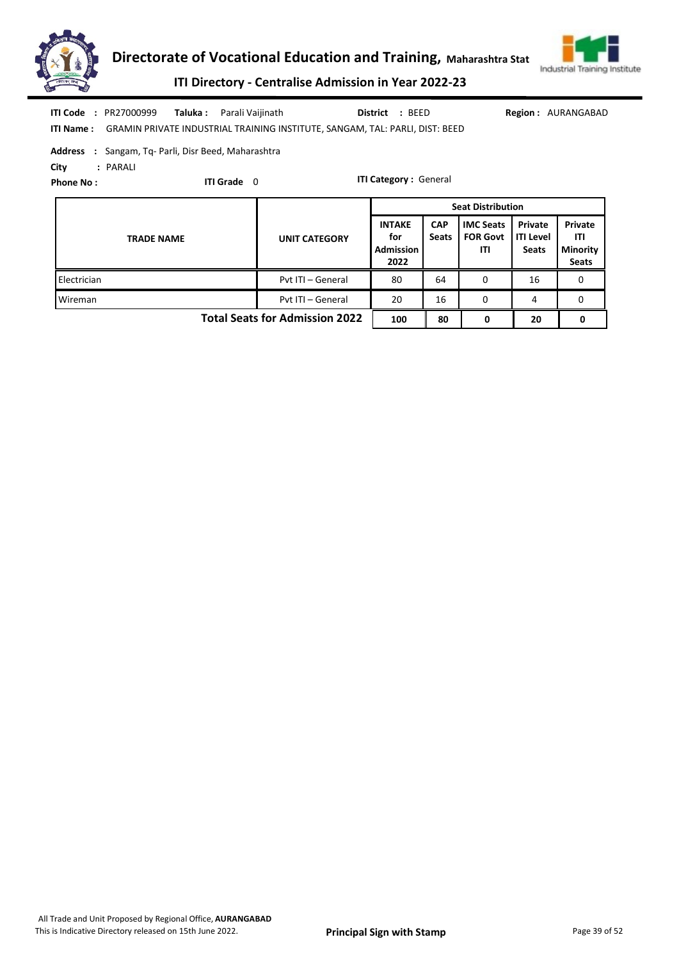



ITI Directory - Centralise Admission in Year 2022-23

|  | <b>ITI Code : PR27000999</b>                               | <b>Taluka :</b> Parali Vaijinath                                                              | District : BEED |  |
|--|------------------------------------------------------------|-----------------------------------------------------------------------------------------------|-----------------|--|
|  |                                                            | <b>ITI Name:</b> GRAMIN PRIVATE INDUSTRIAL TRAINING INSTITUTE, SANGAM, TAL: PARLI, DIST: BEED |                 |  |
|  | <b>Address</b> : Sangam, Tq- Parli, Disr Beed, Maharashtra |                                                                                               |                 |  |

Region : AURANGABAD

City : PARALI

Phone No :

ITI Grade 0

ITI Category : General

|                                       |                      | <b>Seat Distribution</b>                         |                            |                                            |                                      |                                                   |  |  |  |
|---------------------------------------|----------------------|--------------------------------------------------|----------------------------|--------------------------------------------|--------------------------------------|---------------------------------------------------|--|--|--|
| <b>TRADE NAME</b>                     | <b>UNIT CATEGORY</b> | <b>INTAKE</b><br>for<br><b>Admission</b><br>2022 | <b>CAP</b><br><b>Seats</b> | <b>IMC Seats</b><br><b>FOR Govt</b><br>ITI | Private<br>ITI Level<br><b>Seats</b> | Private<br>ITI<br><b>Minority</b><br><b>Seats</b> |  |  |  |
| Electrician                           | Pyt ITI - General    | 80                                               | 64                         | 0                                          | 16                                   | 0                                                 |  |  |  |
| Wireman                               | Pyt ITI - General    | 20                                               | 16                         | 0                                          | 4                                    | 0                                                 |  |  |  |
| <b>Total Seats for Admission 2022</b> | 100                  | 80                                               | 0                          | 20                                         |                                      |                                                   |  |  |  |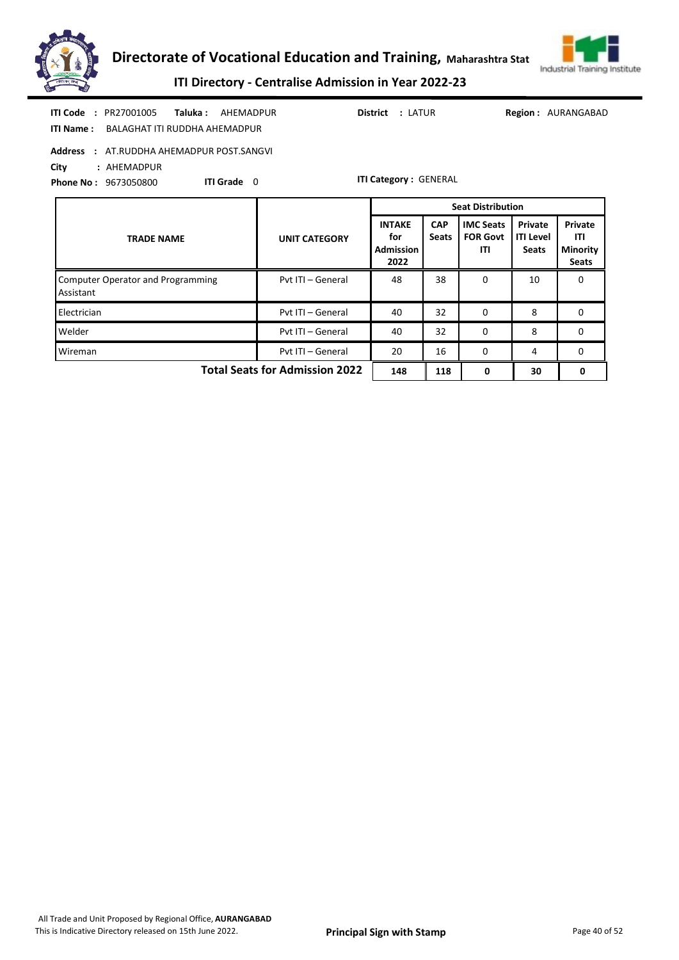



ITI Directory - Centralise Admission in Year 2022-23

| <b>ITI Code</b><br>: PR27001005<br>Taluka :<br><b>District : LATUR</b><br>AHEMADPUR<br><b>Region: AURANGABAD</b><br>BALAGHAT ITI RUDDHA AHEMADPUR<br><b>ITI Name:</b><br><b>Address</b><br>: AT.RUDDHA AHEMADPUR POST.SANGVI<br>City<br>: AHEMADPUR |                      |                                                  |                            |                                            |                                             |                                                   |  |  |  |
|-----------------------------------------------------------------------------------------------------------------------------------------------------------------------------------------------------------------------------------------------------|----------------------|--------------------------------------------------|----------------------------|--------------------------------------------|---------------------------------------------|---------------------------------------------------|--|--|--|
| <b>ITI Category: GENERAL</b><br>ITI Grade 0<br><b>Phone No: 9673050800</b>                                                                                                                                                                          |                      |                                                  |                            |                                            |                                             |                                                   |  |  |  |
|                                                                                                                                                                                                                                                     |                      | <b>Seat Distribution</b>                         |                            |                                            |                                             |                                                   |  |  |  |
| <b>TRADE NAME</b>                                                                                                                                                                                                                                   | <b>UNIT CATEGORY</b> | <b>INTAKE</b><br>for<br><b>Admission</b><br>2022 | <b>CAP</b><br><b>Seats</b> | <b>IMC Seats</b><br><b>FOR Govt</b><br>ITI | Private<br><b>ITI Level</b><br><b>Seats</b> | Private<br>ITI<br><b>Minority</b><br><b>Seats</b> |  |  |  |
| <b>Computer Operator and Programming</b><br>Assistant                                                                                                                                                                                               | Pvt ITI - General    | 48                                               | 38                         | 0                                          | 10                                          | $\Omega$                                          |  |  |  |
| Electrician                                                                                                                                                                                                                                         | Pvt ITI - General    | 40                                               | 32                         | 0                                          | 8                                           | $\mathbf{0}$                                      |  |  |  |
| Welder                                                                                                                                                                                                                                              | Pvt ITI - General    | 40                                               | 32                         | 0                                          | 8                                           | $\mathbf{0}$                                      |  |  |  |
| Wireman                                                                                                                                                                                                                                             | Pvt ITI - General    | 20                                               | 16                         | 0                                          | 4                                           | $\mathbf{0}$                                      |  |  |  |
| <b>Total Seats for Admission 2022</b><br>148<br>118<br>0<br>30<br>0                                                                                                                                                                                 |                      |                                                  |                            |                                            |                                             |                                                   |  |  |  |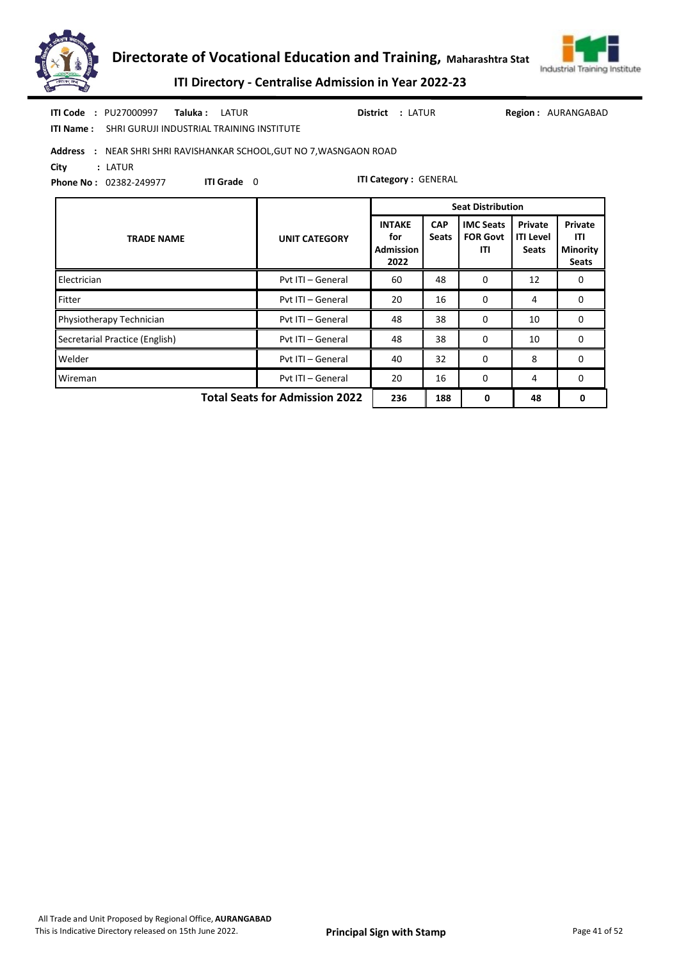



ITI Directory - Centralise Admission in Year 2022-23

| <b>ITI Code</b><br>: PU27000997<br>Taluka :<br>LATUR<br>SHRI GURUJI INDUSTRIAL TRAINING INSTITUTE<br><b>ITI Name:</b>                                            |                                                     | <b>District : LATUR</b>                          |                            |                                            |                                             | <b>Region: AURANGABAD</b>                         |  |  |  |  |
|------------------------------------------------------------------------------------------------------------------------------------------------------------------|-----------------------------------------------------|--------------------------------------------------|----------------------------|--------------------------------------------|---------------------------------------------|---------------------------------------------------|--|--|--|--|
| Address : NEAR SHRI SHRI RAVISHANKAR SCHOOL, GUT NO 7, WASNGAON ROAD<br>City<br>: LATUR<br><b>ITI Category: GENERAL</b><br>ITI Grade 0<br>Phone No: 02382-249977 |                                                     |                                                  |                            |                                            |                                             |                                                   |  |  |  |  |
|                                                                                                                                                                  | <b>Seat Distribution</b>                            |                                                  |                            |                                            |                                             |                                                   |  |  |  |  |
| <b>TRADE NAME</b>                                                                                                                                                | <b>UNIT CATEGORY</b>                                | <b>INTAKE</b><br>for<br><b>Admission</b><br>2022 | <b>CAP</b><br><b>Seats</b> | <b>IMC Seats</b><br><b>FOR Govt</b><br>ITI | Private<br><b>ITI Level</b><br><b>Seats</b> | Private<br>ITI<br><b>Minority</b><br><b>Seats</b> |  |  |  |  |
| Electrician                                                                                                                                                      | Pvt ITI - General                                   | 60                                               | 48                         | $\Omega$                                   | 12                                          | 0                                                 |  |  |  |  |
| Fitter                                                                                                                                                           | Pyt ITI - General                                   | 20                                               | 16                         | $\mathbf{0}$                               | 4                                           | $\mathbf{0}$                                      |  |  |  |  |
| Physiotherapy Technician                                                                                                                                         | Pyt ITI - General                                   | 48                                               | 38                         | $\Omega$                                   | 10                                          | 0                                                 |  |  |  |  |
| Secretarial Practice (English)                                                                                                                                   | Pvt ITI - General<br>38<br>48<br>$\mathbf{0}$<br>10 |                                                  |                            |                                            |                                             | 0                                                 |  |  |  |  |
| Welder                                                                                                                                                           | Pvt ITI - General                                   | 40                                               | 32                         | $\Omega$                                   | 8                                           | 0                                                 |  |  |  |  |
| Wireman                                                                                                                                                          | Pvt ITI - General                                   | 20                                               | 16                         | 0                                          | 4                                           | 0                                                 |  |  |  |  |
|                                                                                                                                                                  | <b>Total Seats for Admission 2022</b>               | 236                                              | 188                        | 0                                          | 48                                          | 0                                                 |  |  |  |  |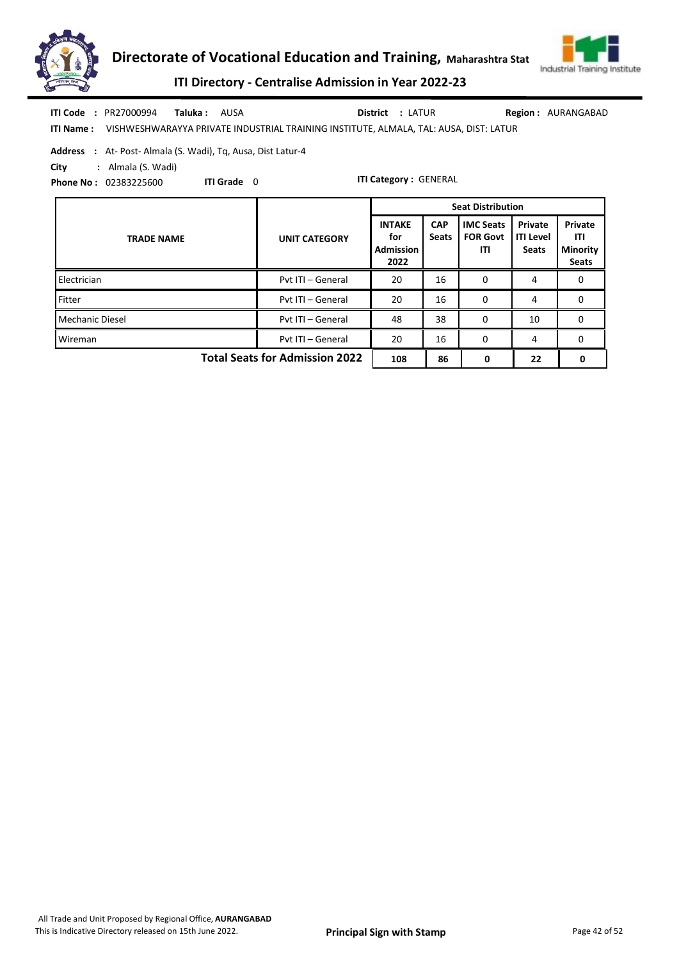



ITI Directory - Centralise Admission in Year 2022-23

| <b>ITI Code : PR27000994</b> | <b>Taluka :</b> AUSA |                                                                                                        | <b>District : LATUR</b> | <b>Region: AURANGABAD</b> |
|------------------------------|----------------------|--------------------------------------------------------------------------------------------------------|-------------------------|---------------------------|
|                              |                      | <b>ITI Name:</b> VISHWESHWARAYYA PRIVATE INDUSTRIAL TRAINING INSTITUTE, ALMALA, TAL: AUSA, DIST: LATUR |                         |                           |

Address : At- Post- Almala (S. Wadi), Tq, Ausa, Dist Latur-4

ITI Grade 0

City : Almala (S. Wadi)

Phone No : 02383225600

|                                       |                      | <b>Seat Distribution</b>                         |                            |                                            |                                      |                                                   |  |  |
|---------------------------------------|----------------------|--------------------------------------------------|----------------------------|--------------------------------------------|--------------------------------------|---------------------------------------------------|--|--|
| <b>TRADE NAME</b>                     | <b>UNIT CATEGORY</b> | <b>INTAKE</b><br>for<br><b>Admission</b><br>2022 | <b>CAP</b><br><b>Seats</b> | <b>IMC Seats</b><br><b>FOR Govt</b><br>ITI | Private<br><b>ITI Level</b><br>Seats | Private<br>ITI<br><b>Minority</b><br><b>Seats</b> |  |  |
| Electrician                           | Pvt ITI - General    | 20                                               | 16                         | 0                                          | 4                                    | 0                                                 |  |  |
| Fitter                                | Pvt ITI - General    | 20                                               | 16                         | 0                                          | 4                                    | 0                                                 |  |  |
| <b>Mechanic Diesel</b>                | Pvt ITI - General    | 48                                               | 38                         | $\Omega$                                   | 10                                   | 0                                                 |  |  |
| Wireman                               | Pvt ITI - General    | 20                                               | 16                         | 0                                          | 4                                    | 0                                                 |  |  |
| <b>Total Seats for Admission 2022</b> | 108                  | 86                                               | 0                          | 22                                         | 0                                    |                                                   |  |  |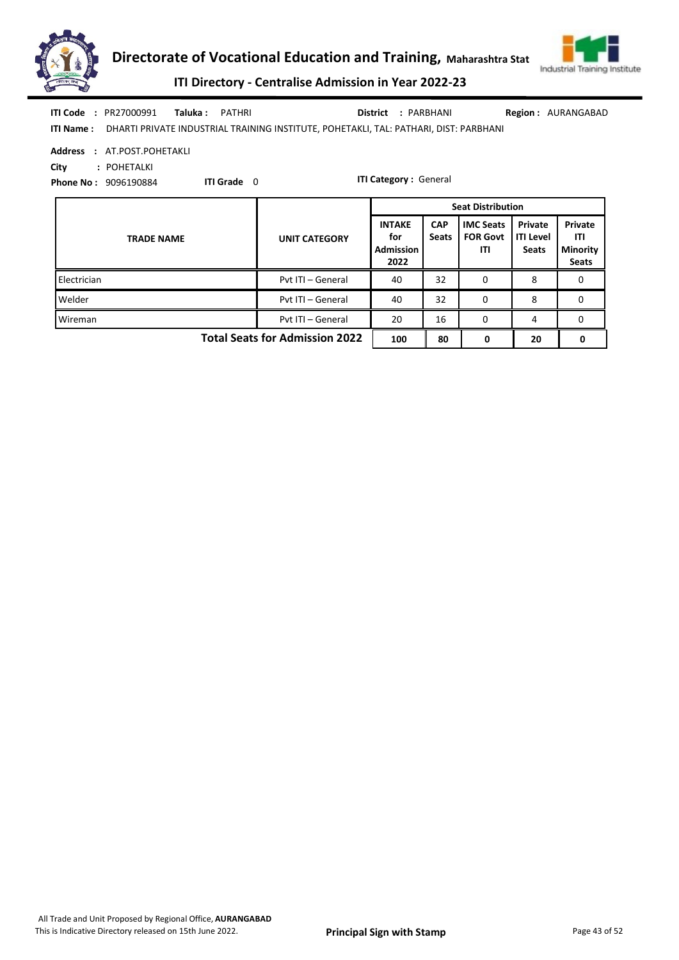



ITI Directory - Centralise Admission in Year 2022-23

| <b>ITI Code : PR27000991</b> | <b>Taluka :</b> PATHRI |                                                                                                 | District : PARBHANI | <b>Region: AURANGABAD</b> |
|------------------------------|------------------------|-------------------------------------------------------------------------------------------------|---------------------|---------------------------|
|                              |                        | ITI Name: DHARTI PRIVATE INDUSTRIAL TRAINING INSTITUTE, POHETAKLI, TAL: PATHARI, DIST: PARBHANI |                     |                           |

Address : AT.POST.POHETAKLI

City : POHETALKI

Phone No : 9096190884

ITI Grade 0

ITI Category : General

|                                       |                      | <b>Seat Distribution</b>                         |                            |                                            |                                             |                                                   |  |  |
|---------------------------------------|----------------------|--------------------------------------------------|----------------------------|--------------------------------------------|---------------------------------------------|---------------------------------------------------|--|--|
| <b>TRADE NAME</b>                     | <b>UNIT CATEGORY</b> | <b>INTAKE</b><br>for<br><b>Admission</b><br>2022 | <b>CAP</b><br><b>Seats</b> | <b>IMC Seats</b><br><b>FOR Govt</b><br>ITI | Private<br><b>ITI Level</b><br><b>Seats</b> | Private<br>ITI<br><b>Minority</b><br><b>Seats</b> |  |  |
| Electrician                           | Pyt ITI - General    | 40                                               | 32                         | 0                                          | 8                                           | 0                                                 |  |  |
| Welder                                | Pyt ITI - General    | 40                                               | 32                         | 0                                          | 8                                           | 0                                                 |  |  |
| Wireman                               | Pyt ITI - General    | 20                                               | 16                         | 0                                          | 4                                           | 0                                                 |  |  |
| <b>Total Seats for Admission 2022</b> | 100                  | 80                                               | 0                          | 20                                         | 0                                           |                                                   |  |  |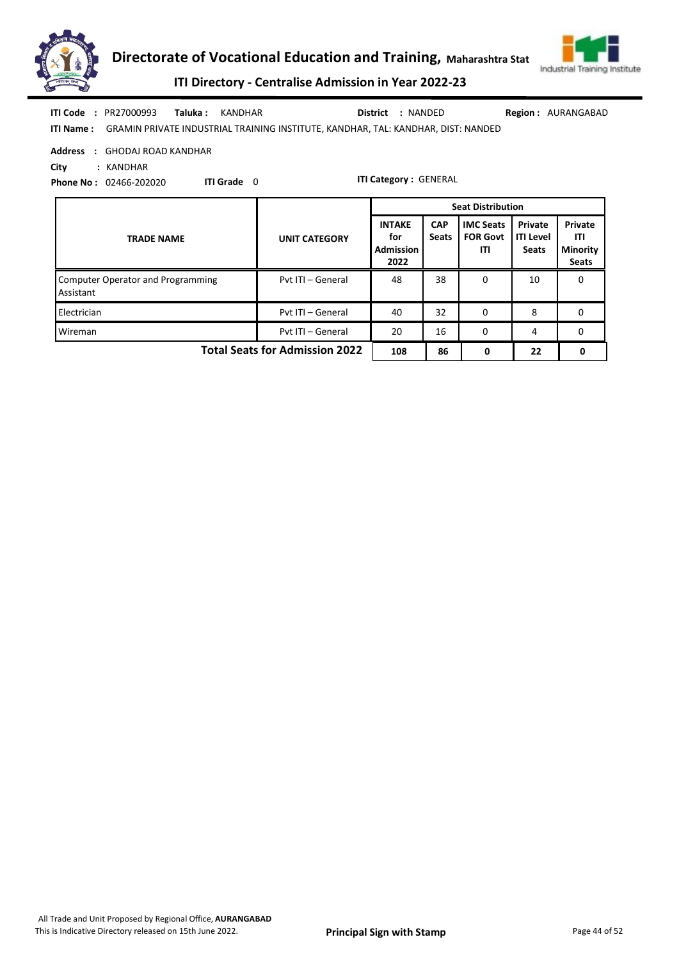



ITI Directory - Centralise Admission in Year 2022-23

| <b>ITI Code : PR27000993</b> | <b>Taluka : KANDHAR</b>                                                                            | District : NANDED | <b>Region: AURANGABAD</b> |
|------------------------------|----------------------------------------------------------------------------------------------------|-------------------|---------------------------|
|                              | <b>ITI Name:</b> GRAMIN PRIVATE INDUSTRIAL TRAINING INSTITUTE, KANDHAR, TAL: KANDHAR, DIST: NANDED |                   |                           |

Address : GHODAJ ROAD KANDHAR

City : KANDHAR

Phone No : 02466-202020 ITI Grade 0

|                                                |                      | <b>Seat Distribution</b>                         |                            |                                            |                                             |                                                   |
|------------------------------------------------|----------------------|--------------------------------------------------|----------------------------|--------------------------------------------|---------------------------------------------|---------------------------------------------------|
| <b>TRADE NAME</b>                              | <b>UNIT CATEGORY</b> | <b>INTAKE</b><br>for<br><b>Admission</b><br>2022 | <b>CAP</b><br><b>Seats</b> | <b>IMC Seats</b><br><b>FOR Govt</b><br>ITI | Private<br><b>ITI Level</b><br><b>Seats</b> | Private<br>ITI<br><b>Minority</b><br><b>Seats</b> |
| Computer Operator and Programming<br>Assistant | Pyt ITI - General    | 48                                               | 38                         | 0                                          | 10                                          | 0                                                 |
| Electrician                                    | Pyt ITI - General    | 40                                               | 32                         | 0                                          | 8                                           | 0                                                 |
| Wireman                                        | Pyt ITI - General    | 20                                               | 16                         | 0                                          | 4                                           | 0                                                 |
| <b>Total Seats for Admission 2022</b>          | 108                  | 86                                               | 0                          | 22                                         | 0                                           |                                                   |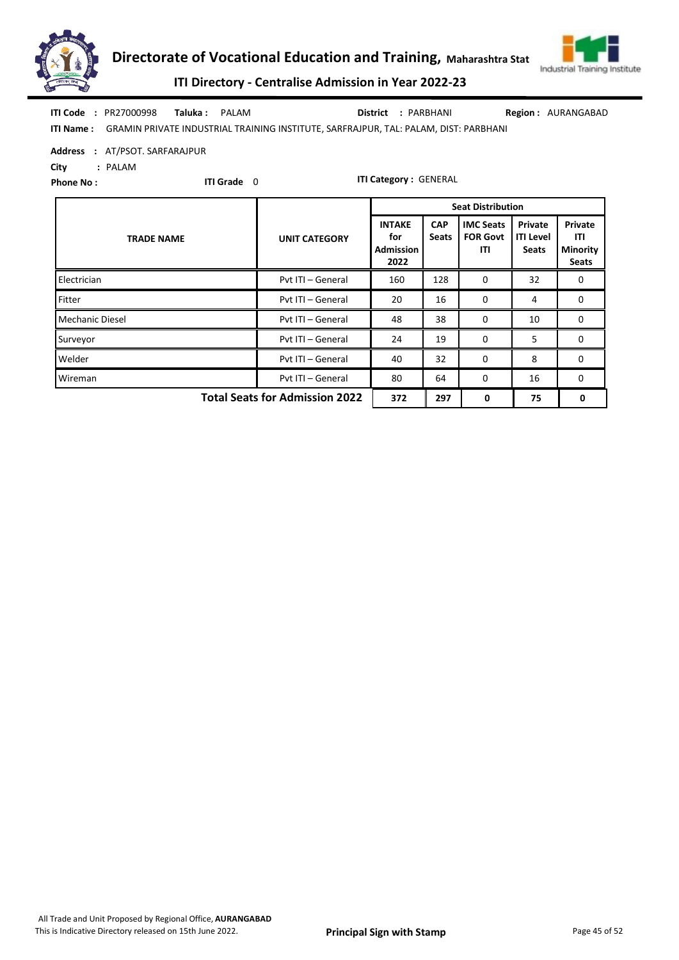



ITI Directory - Centralise Admission in Year 2022-23

|  | <b>ITI Code : PR27000998</b> | Taluka: PALAM |                                                                                                       | District : PARBHANI | <b>Region: AURANGABAD</b> |
|--|------------------------------|---------------|-------------------------------------------------------------------------------------------------------|---------------------|---------------------------|
|  |                              |               | <b>ITI Name:</b> GRAMIN PRIVATE INDUSTRIAL TRAINING INSTITUTE, SARFRAJPUR, TAL: PALAM, DIST: PARBHANI |                     |                           |

Address : AT/PSOT. SARFARAJPUR

City : PALAM

Phone No :

ITI Grade 0

|                                       |                      | <b>Seat Distribution</b>                  |                            |                                            |                                             |                                                   |  |
|---------------------------------------|----------------------|-------------------------------------------|----------------------------|--------------------------------------------|---------------------------------------------|---------------------------------------------------|--|
| <b>TRADE NAME</b>                     | <b>UNIT CATEGORY</b> | <b>INTAKE</b><br>for<br>Admission<br>2022 | <b>CAP</b><br><b>Seats</b> | <b>IMC Seats</b><br><b>FOR Govt</b><br>ITI | Private<br><b>ITI Level</b><br><b>Seats</b> | Private<br>ITI<br><b>Minority</b><br><b>Seats</b> |  |
| Electrician                           | Pyt ITI - General    | 160                                       | 128                        | 0                                          | 32                                          | 0                                                 |  |
| Fitter                                | Pvt ITI - General    | 20                                        | 16                         | 0                                          | 4                                           | 0                                                 |  |
| Mechanic Diesel                       | Pvt ITI - General    | 48                                        | 38                         | 0                                          | 10                                          | 0                                                 |  |
| Surveyor                              | Pyt ITI - General    | 24                                        | 19                         | 0                                          | 5                                           | 0                                                 |  |
| Welder                                | Pvt ITI - General    | 40                                        | 32                         | 0                                          | 8                                           | 0                                                 |  |
| Wireman                               | Pvt ITI - General    | 80                                        | 64                         | 0                                          | 16                                          | 0                                                 |  |
| <b>Total Seats for Admission 2022</b> | 372                  | 297                                       | 0                          | 75                                         | 0                                           |                                                   |  |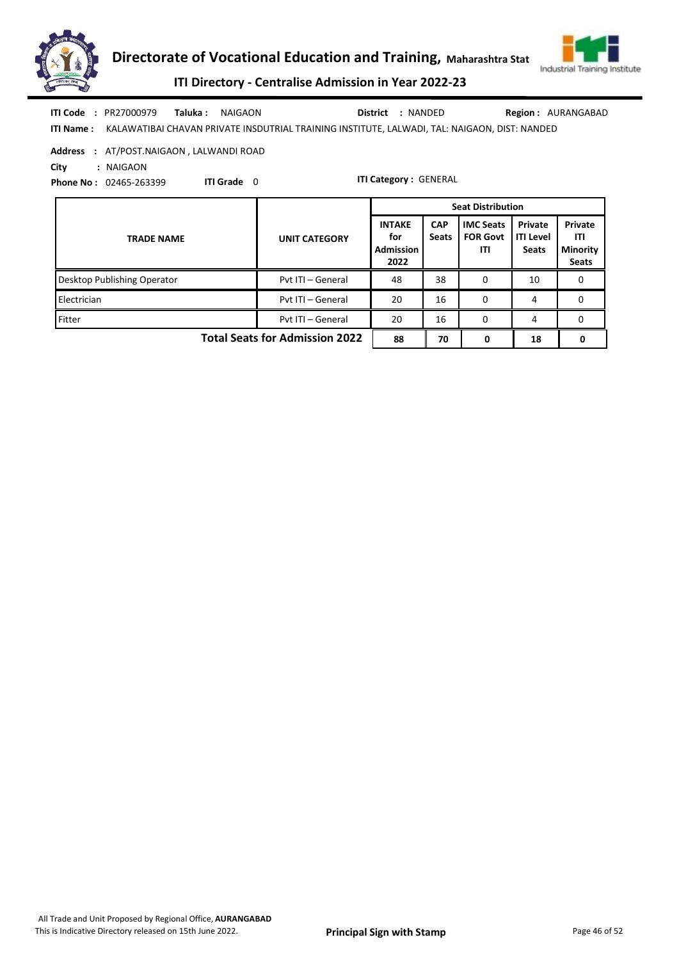



ITI Directory - Centralise Admission in Year 2022-23

| <b>ITI Code: PR27000979 Taluka: NAIGAON</b> |  |                                                                                                         | District : NANDED | <b>Region: AURANGABAD</b> |
|---------------------------------------------|--|---------------------------------------------------------------------------------------------------------|-------------------|---------------------------|
|                                             |  | ITI Name: KALAWATIBAI CHAVAN PRIVATE INSDUTRIAL TRAINING INSTITUTE, LALWADI, TAL: NAIGAON, DIST: NANDED |                   |                           |

Address : AT/POST.NAIGAON , LALWANDI ROAD

City : NAIGAON

Phone No : 02465-263399 ITI Grade 0

|                                       |                      | <b>Seat Distribution</b>                         |                            |                                            |                                             |                                                   |  |  |
|---------------------------------------|----------------------|--------------------------------------------------|----------------------------|--------------------------------------------|---------------------------------------------|---------------------------------------------------|--|--|
| <b>TRADE NAME</b>                     | <b>UNIT CATEGORY</b> | <b>INTAKE</b><br>for<br><b>Admission</b><br>2022 | <b>CAP</b><br><b>Seats</b> | <b>IMC Seats</b><br><b>FOR Govt</b><br>ITI | Private<br><b>ITI Level</b><br><b>Seats</b> | Private<br>ITI<br><b>Minority</b><br><b>Seats</b> |  |  |
| Desktop Publishing Operator           | Pyt ITI - General    | 48                                               | 38                         | 0                                          | 10                                          | 0                                                 |  |  |
| Electrician                           | Pvt ITI - General    | 20                                               | 16                         | 0                                          | 4                                           | 0                                                 |  |  |
| Fitter                                | Pyt ITI - General    | 20                                               | 16                         | 0                                          | 4                                           | 0                                                 |  |  |
| <b>Total Seats for Admission 2022</b> | 88                   | 70                                               | 0                          | 18                                         |                                             |                                                   |  |  |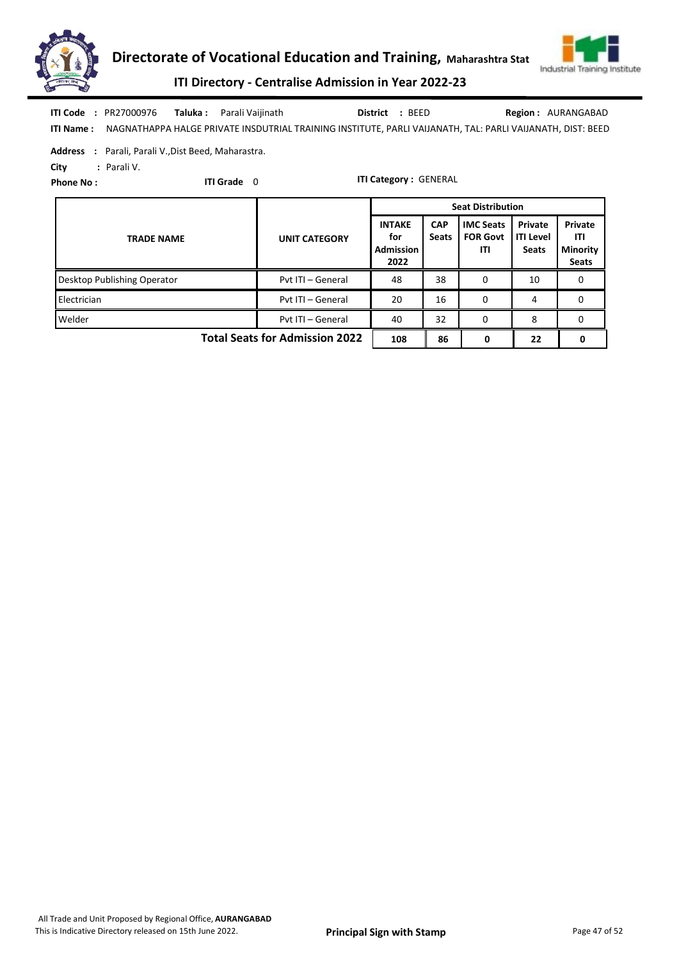



ITI Directory - Centralise Admission in Year 2022-23

|  | <b>ITI Code: PR27000976 Taluka: Parali Vaijinath</b> | District : BEED | <b>Region: AURANGABAD</b>                                                                                            |
|--|------------------------------------------------------|-----------------|----------------------------------------------------------------------------------------------------------------------|
|  |                                                      |                 | ITI Name: NAGNATHAPPA HALGE PRIVATE INSDUTRIAL TRAINING INSTITUTE, PARLI VAIJANATH, TAL: PARLI VAIJANATH, DIST: BEED |

Address : Parali, Parali V.,Dist Beed, Maharastra.

City : Parali V.

Phone No :

ITI Grade 0

|                                       |                      | <b>Seat Distribution</b>                         |                            |                                            |                                             |                                                   |  |  |
|---------------------------------------|----------------------|--------------------------------------------------|----------------------------|--------------------------------------------|---------------------------------------------|---------------------------------------------------|--|--|
| <b>TRADE NAME</b>                     | <b>UNIT CATEGORY</b> | <b>INTAKE</b><br>for<br><b>Admission</b><br>2022 | <b>CAP</b><br><b>Seats</b> | <b>IMC Seats</b><br><b>FOR Govt</b><br>ITI | Private<br><b>ITI Level</b><br><b>Seats</b> | Private<br>ITI<br><b>Minority</b><br><b>Seats</b> |  |  |
| Desktop Publishing Operator           | Pyt ITI - General    | 48                                               | 38                         | 0                                          | 10                                          | 0                                                 |  |  |
| Electrician                           | Pvt ITI - General    | 20                                               | 16                         | 0                                          | 4                                           | 0                                                 |  |  |
| Welder                                | Pyt ITI - General    | 40                                               | 32                         | 0                                          | 8                                           | 0                                                 |  |  |
| <b>Total Seats for Admission 2022</b> | 108                  | 86                                               | 0                          | 22                                         |                                             |                                                   |  |  |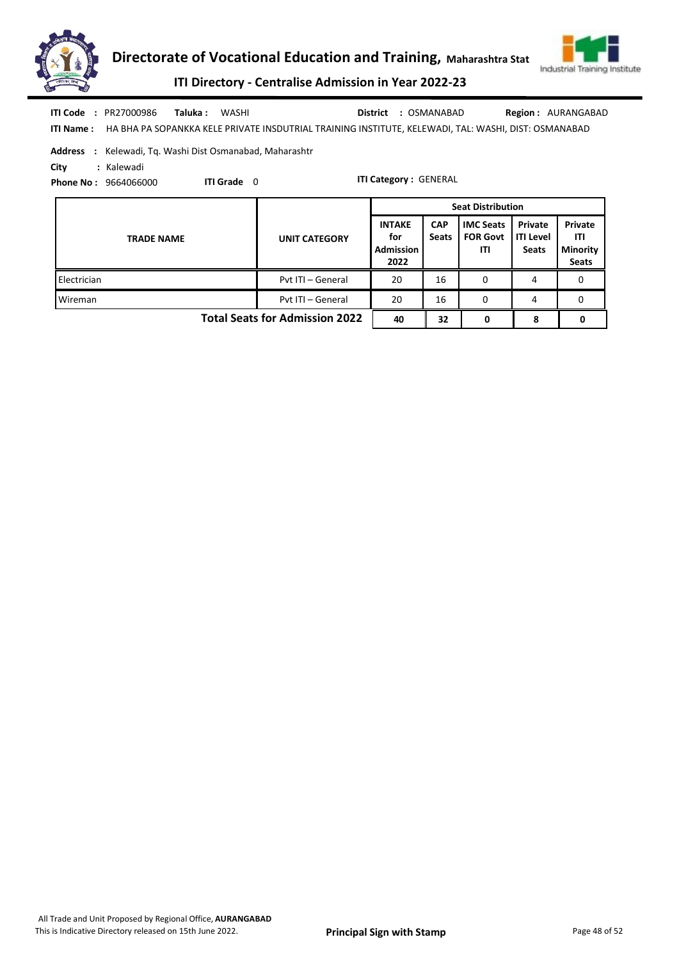



ITI Directory - Centralise Admission in Year 2022-23

| ITI Code<br>: PR27000986<br>Taluka :<br>WASHI<br><b>ITI Name:</b><br>HA BHA PA SOPANKKA KELE PRIVATE INSDUTRIAL TRAINING INSTITUTE, KELEWADI, TAL: WASHI, DIST: OSMANABAD |                      | District                                         | : OSMANABAD                |                                            |                                             | <b>Region: AURANGABAD</b>                         |  |  |  |
|---------------------------------------------------------------------------------------------------------------------------------------------------------------------------|----------------------|--------------------------------------------------|----------------------------|--------------------------------------------|---------------------------------------------|---------------------------------------------------|--|--|--|
| <b>Address</b> : Kelewadi, Tg. Washi Dist Osmanabad, Maharashtr<br>: Kalewadi<br>City<br><b>ITI Category: GENERAL</b><br>ITI Grade 0<br><b>Phone No: 9664066000</b>       |                      |                                                  |                            |                                            |                                             |                                                   |  |  |  |
|                                                                                                                                                                           |                      |                                                  |                            | <b>Seat Distribution</b>                   |                                             |                                                   |  |  |  |
| <b>TRADE NAME</b>                                                                                                                                                         | <b>UNIT CATEGORY</b> | <b>INTAKE</b><br>for<br><b>Admission</b><br>2022 | <b>CAP</b><br><b>Seats</b> | <b>IMC Seats</b><br><b>FOR Govt</b><br>ITI | Private<br><b>ITI Level</b><br><b>Seats</b> | Private<br>ITI<br><b>Minority</b><br><b>Seats</b> |  |  |  |
| Electrician                                                                                                                                                               | Pyt ITI - General    | 20                                               | 16                         | 0                                          | 4                                           | 0                                                 |  |  |  |

Wireman **Pvt ITI – General 20 16 0 4 0** 0 4 0

Total Seats for Admission 2022  $\begin{array}{|c|c|c|c|c|c|c|c|} \hline 40 & 32 & 0 & 8 & 0 \ \hline \end{array}$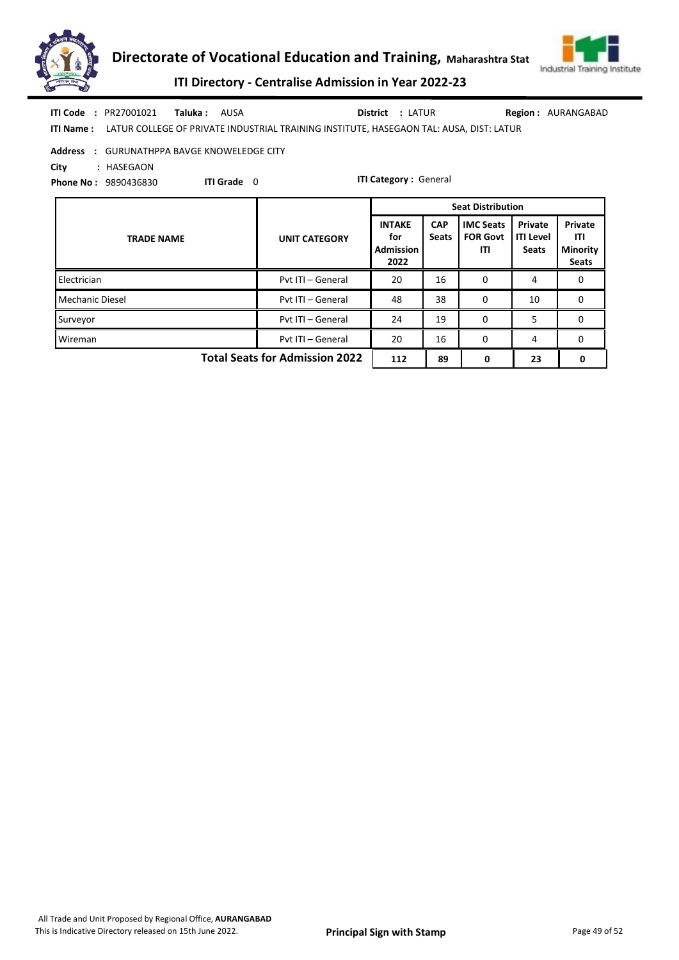



ITI Directory - Centralise Admission in Year 2022-23

| ITI Code         | : PR27001021 | <b>Taluka:</b> AUSA |                                                                                         | <b>District : LATUR</b> |  | <b>Region: AURANGABAD</b> |
|------------------|--------------|---------------------|-----------------------------------------------------------------------------------------|-------------------------|--|---------------------------|
| <b>ITI Name:</b> |              |                     | LATUR COLLEGE OF PRIVATE INDUSTRIAL TRAINING INSTITUTE, HASEGAON TAL: AUSA, DIST: LATUR |                         |  |                           |

| Address : GURUNATHPPA BAVGE KNOWELEDGE CITY |  |
|---------------------------------------------|--|
|---------------------------------------------|--|

ITI Grade 0

City : HASEGAON

Phone No : 9890436830

ITI Category : General

|                                       |                      |                                                  |                            | <b>Seat Distribution</b>                   |                                             |                                                   |
|---------------------------------------|----------------------|--------------------------------------------------|----------------------------|--------------------------------------------|---------------------------------------------|---------------------------------------------------|
| <b>TRADE NAME</b>                     | <b>UNIT CATEGORY</b> | <b>INTAKE</b><br>for<br><b>Admission</b><br>2022 | <b>CAP</b><br><b>Seats</b> | <b>IMC Seats</b><br><b>FOR Govt</b><br>ITI | Private<br><b>ITI Level</b><br><b>Seats</b> | Private<br>ITI<br><b>Minority</b><br><b>Seats</b> |
| Electrician                           | Pyt ITI - General    | 20                                               | 16                         | 0                                          | 4                                           | 0                                                 |
| <b>Mechanic Diesel</b>                | Pvt ITI - General    | 48                                               | 38                         | $\Omega$                                   | 10                                          | 0                                                 |
| Surveyor                              | Pvt ITI - General    | 24                                               | 19                         | $\Omega$                                   | 5                                           | 0                                                 |
| Wireman                               | Pyt ITI - General    | 20                                               | 16                         | $\Omega$                                   | 4                                           | 0                                                 |
| <b>Total Seats for Admission 2022</b> | 112                  | 89                                               | 0                          | 23                                         | 0                                           |                                                   |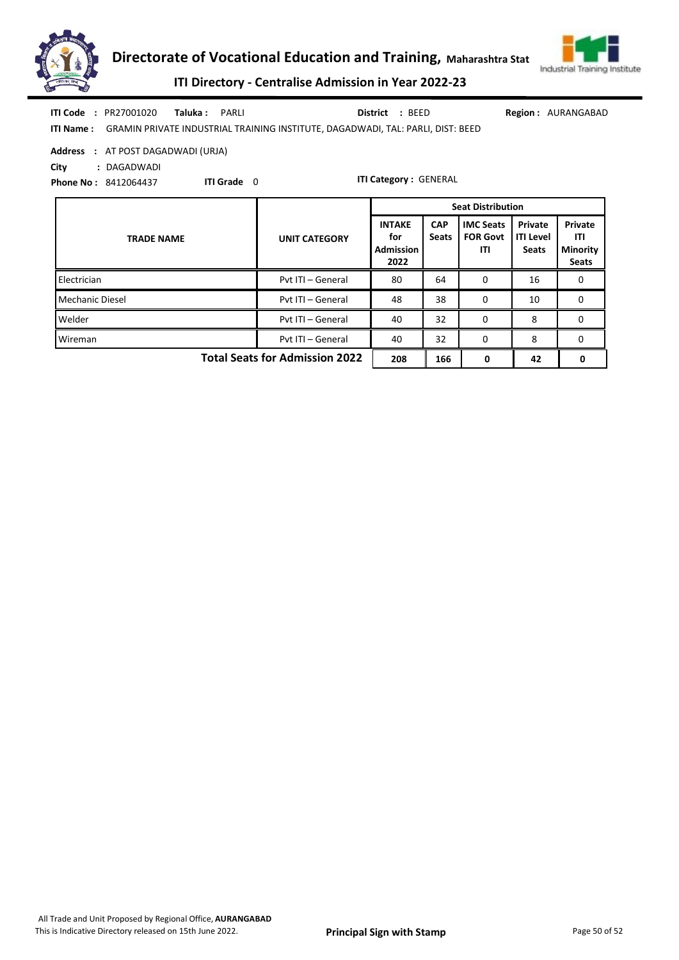



ITI Directory - Centralise Admission in Year 2022-23

|  | <b>ITI Code : PR27001020</b> | <b>Taluka:</b> PARLI |                                                                                           | District : BEED | Regio |
|--|------------------------------|----------------------|-------------------------------------------------------------------------------------------|-----------------|-------|
|  |                              |                      | ITI Name: GRAMIN PRIVATE INDUSTRIAL TRAINING INSTITUTE, DAGADWADI, TAL: PARLI, DIST: BEED |                 |       |

ion: AURANGABAD

ITI Grade 0

Address : AT POST DAGADWADI (URJA)

City : DAGADWADI

Phone No : 8412064437

| <b>TRADE NAME</b>                     | <b>UNIT CATEGORY</b> | <b>INTAKE</b><br>for<br><b>Admission</b><br>2022 | <b>CAP</b><br><b>Seats</b> | <b>IMC Seats</b><br><b>FOR Govt</b><br>ITI | Private<br><b>ITI Level</b><br><b>Seats</b> | Private<br>ITI<br><b>Minority</b><br><b>Seats</b> |
|---------------------------------------|----------------------|--------------------------------------------------|----------------------------|--------------------------------------------|---------------------------------------------|---------------------------------------------------|
| Electrician                           | Pvt ITI - General    | 80                                               | 64                         | 0                                          | 16                                          | 0                                                 |
| Mechanic Diesel                       | Pvt ITI - General    | 48                                               | 38                         | 0                                          | 10                                          | 0                                                 |
| Welder                                | Pvt ITI - General    | 40                                               | 32                         | $\Omega$                                   | 8                                           | 0                                                 |
| Wireman                               | Pvt ITI - General    | 40                                               | 32                         | 0                                          | 8                                           | 0                                                 |
| <b>Total Seats for Admission 2022</b> | 208                  | 166                                              | 0                          | 42                                         | 0                                           |                                                   |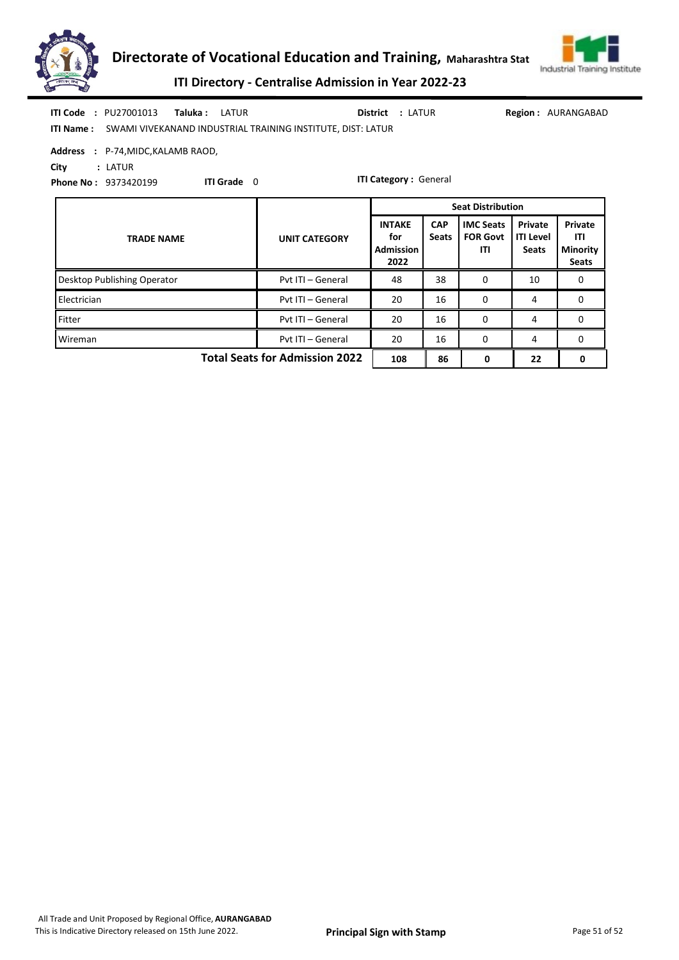



ITI Directory - Centralise Admission in Year 2022-23

|      | <b>ITI Code : PU27001013</b>       | <b>Taluka:</b> LATUR |                    | <b>District : LATUR</b>                                                      |  | <b>Region: AURANGABAD</b> |
|------|------------------------------------|----------------------|--------------------|------------------------------------------------------------------------------|--|---------------------------|
|      |                                    |                      |                    | <b>ITI Name:</b> SWAMI VIVEKANAND INDUSTRIAL TRAINING INSTITUTE, DIST: LATUR |  |                           |
|      | Address : P-74, MIDC, KALAMB RAOD, |                      |                    |                                                                              |  |                           |
| City | : LATUR                            |                      |                    |                                                                              |  |                           |
|      | <b>Phone No: 9373420199</b>        |                      | <b>ITI Grade</b> 0 | <b>ITI Category: General</b>                                                 |  |                           |

| <b>TRADE NAME</b>           | <b>UNIT CATEGORY</b>                  | <b>INTAKE</b><br>for<br>Admission<br>2022 | <b>CAP</b><br><b>Seats</b> | <b>IMC Seats</b><br><b>FOR Govt</b><br>ITI | Private<br><b>ITI Level</b><br><b>Seats</b> | Private<br>ITI<br><b>Minority</b><br><b>Seats</b> |
|-----------------------------|---------------------------------------|-------------------------------------------|----------------------------|--------------------------------------------|---------------------------------------------|---------------------------------------------------|
| Desktop Publishing Operator | Pyt ITI - General                     | 48                                        | 38                         | 0                                          | 10                                          | 0                                                 |
| Electrician                 | Pyt ITI - General                     | 20                                        | 16                         | 0                                          | 4                                           | 0                                                 |
| Fitter                      | Pyt ITI - General                     | 20                                        | 16                         | 0                                          | 4                                           | 0                                                 |
| Wireman                     | Pvt ITI - General                     | 20                                        | 16                         | $\Omega$                                   | 4                                           | 0                                                 |
|                             | <b>Total Seats for Admission 2022</b> | 108                                       | 86                         | 0                                          | 22                                          |                                                   |